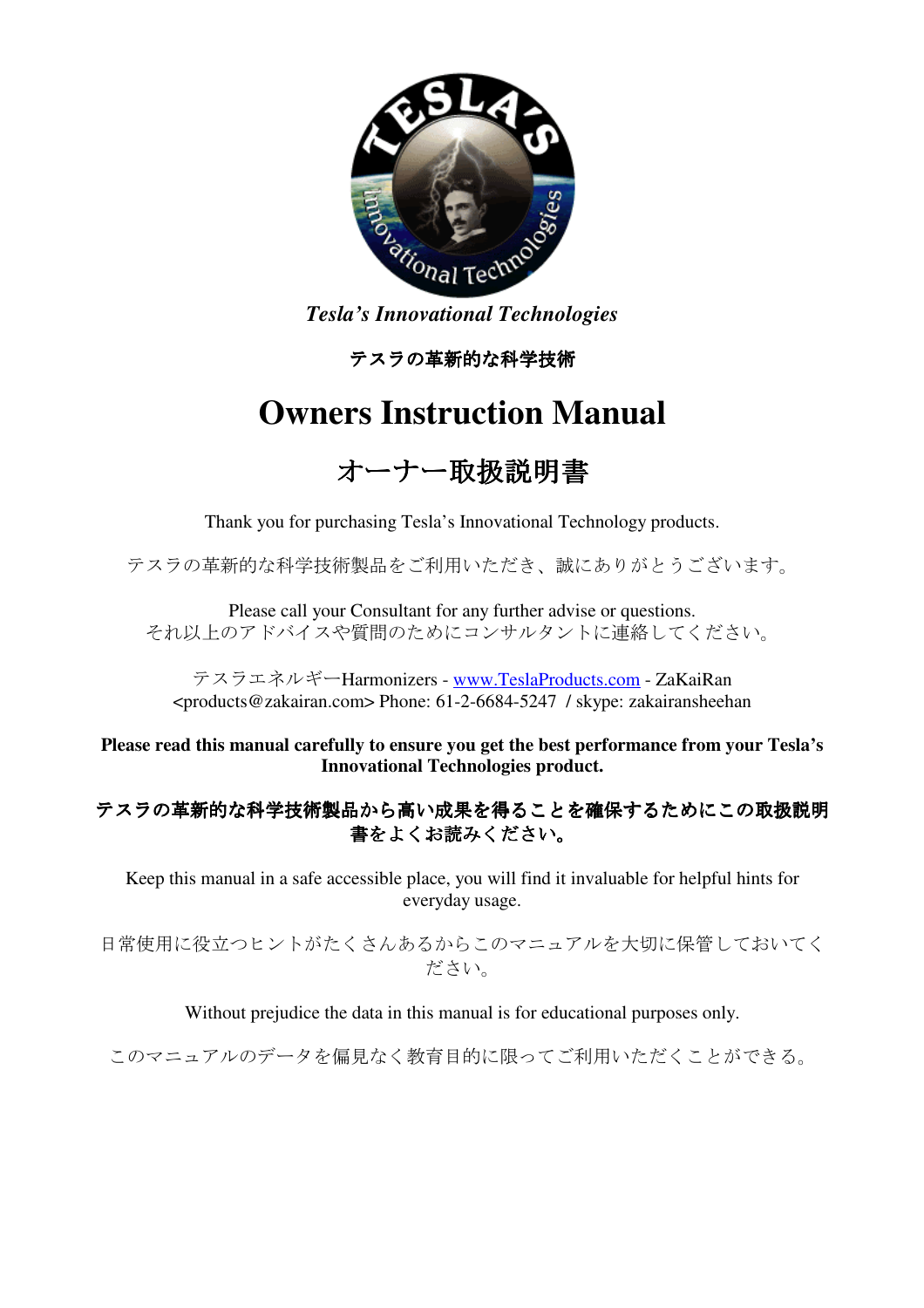

*Tesla's Innovational Technologies*

テスラの革新的な科学技術

# **Owners Instruction Manual**

# オーナー取扱説明書

Thank you for purchasing Tesla's Innovational Technology products.

テスラの革新的な科学技術製品をご利用いただき、誠にありがとうございます。

Please call your Consultant for any further advise or questions. それ以上のアドバイスや質問のためにコンサルタントに連絡してください。

テスラエネルギーHarmonizers - www.TeslaProducts.com - ZaKaiRan <products@zakairan.com> Phone: 61-2-6684-5247 / skype: zakairansheehan

**Please read this manual carefully to ensure you get the best performance from your Tesla's Innovational Technologies product.** 

## テスラの革新的な科学技術製品から高い成果を得ることを確保するためにこの取扱説明 書をよくお読みください。

Keep this manual in a safe accessible place, you will find it invaluable for helpful hints for everyday usage.

日常使用に役立つヒントがたくさんあるからこのマニュアルを大切に保管しておいてく ださい。

Without prejudice the data in this manual is for educational purposes only.

このマニュアルのデータを偏見なく教育目的に限ってご利用いただくことができる。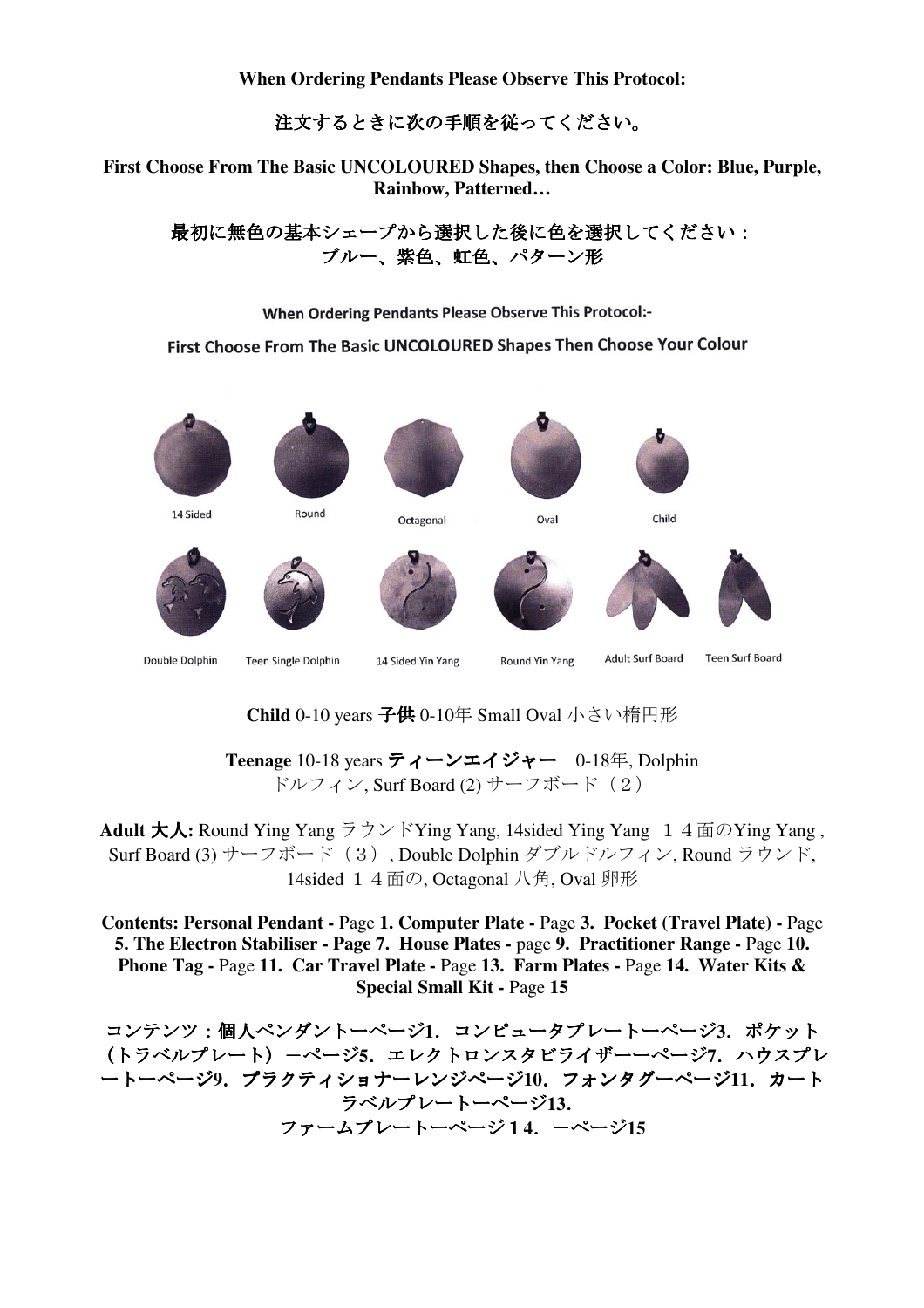**When Ordering Pendants Please Observe This Protocol:** 

注文するときに次の手順を従ってください。

**First Choose From The Basic UNCOLOURED Shapes, then Choose a Color: Blue, Purple, Rainbow, Patterned…**

最初に無色の基本シェープから選択した後に色を選択してください: ブルー、紫色、虹色、パターン形

When Ordering Pendants Please Observe This Protocol:-

First Choose From The Basic UNCOLOURED Shapes Then Choose Your Colour



**Child** 0-10 years 子供 0-10年 Small Oval 小さい楕円形

**Teenage** 10-18 years ティーンエイジャー 0-18年, Dolphin ドルフィン, Surf Board (2) サーフボード (2)

Adult 大人: Round Ying Yang ラウンドYing Yang, 14sided Ying Yang 1 4面のYing Yang, Surf Board (3) サーフボード(3), Double Dolphin ダブルドルフィン, Round ラウンド, 14sided 14面の, Octagonal 八角, Oval 卵形

**Contents: Personal Pendant -** Page **1. Computer Plate -** Page **3. Pocket (Travel Plate) -** Page **5. The Electron Stabiliser - Page 7. House Plates -** page **9. Practitioner Range -** Page **10. Phone Tag -** Page **11. Car Travel Plate -** Page **13. Farm Plates -** Page **14. Water Kits & Special Small Kit -** Page **15** 

コンテンツ:個人ペンダントーページ**1**.コンピュータプレートーページ**3**.ポケット (トラベルプレート)-ページ**5**.エレクトロンスタビライザーーページ**7**.ハウスプレ ートーページ**9**.プラクティショナーレンジページ**10**.フォンタグーページ**11**.カート ラベルプレートーページ**13**. ファームプレートーページ1**4**.-ページ**15**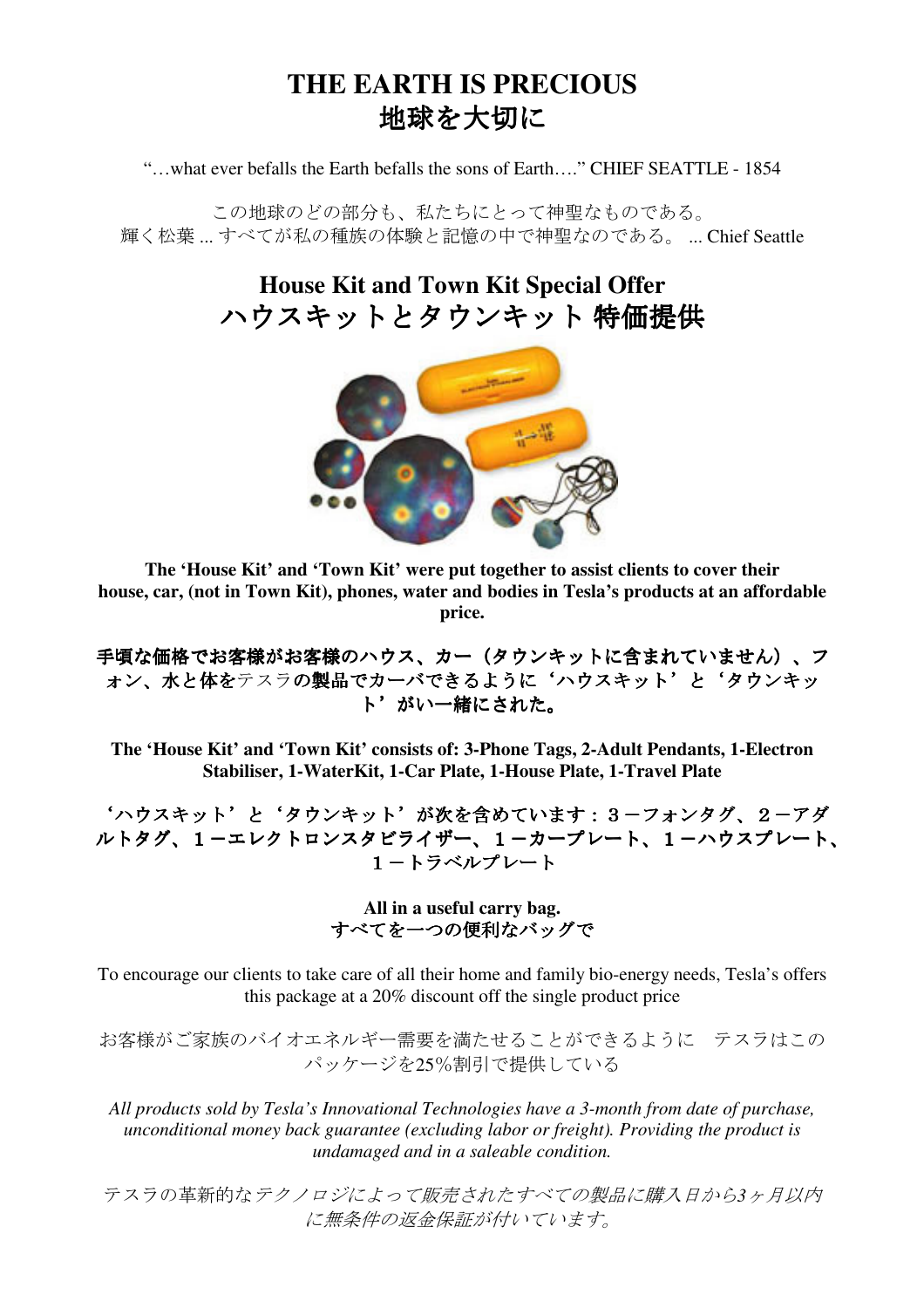## **THE EARTH IS PRECIOUS** 地球を大切に

"…what ever befalls the Earth befalls the sons of Earth…." CHIEF SEATTLE - 1854

この地球のどの部分も、私たちにとって神聖なものである。 輝く松葉 ... すべてが私の種族の体験と記憶の中で神聖なのである。 ... Chief Seattle

> **House Kit and Town Kit Special Offer** ハウスキットとタウンキット 特価提供



**The 'House Kit' and 'Town Kit' were put together to assist clients to cover their house, car, (not in Town Kit), phones, water and bodies in Tesla's products at an affordable price.** 

手頃な価格でお客様がお客様のハウス、カー(タウンキットに含まれていません)、フ ォン、水と体をテスラの製品でカーバできるように'ハウスキット'と'タウンキッ ト'がい一緒にされた。

**The 'House Kit' and 'Town Kit' consists of: 3-Phone Tags, 2-Adult Pendants, 1-Electron Stabiliser, 1-WaterKit, 1-Car Plate, 1-House Plate, 1-Travel Plate** 

'ハウスキット'と'タウンキット'が次を含めています:3-フォンタグ、2-アダ ルトタグ、1-エレクトロンスタビライザー、1-カープレート、1-ハウスプレート、 1-トラベルプレート

> **All in a useful carry bag.**  すべてを一つの便利なバッグで

To encourage our clients to take care of all their home and family bio-energy needs, Tesla's offers this package at a 20% discount off the single product price

お客様がご家族のバイオエネルギー需要を満たせることができるように テスラはこの パッケージを25%割引で提供している

*All products sold by Tesla's Innovational Technologies have a 3-month from date of purchase, unconditional money back guarantee (excluding labor or freight). Providing the product is undamaged and in a saleable condition.* 

テスラの革新的なテクノロジによって販売されたすべての製品に購入日から*3*ヶ月以内 に無条件の返金保証が付いています。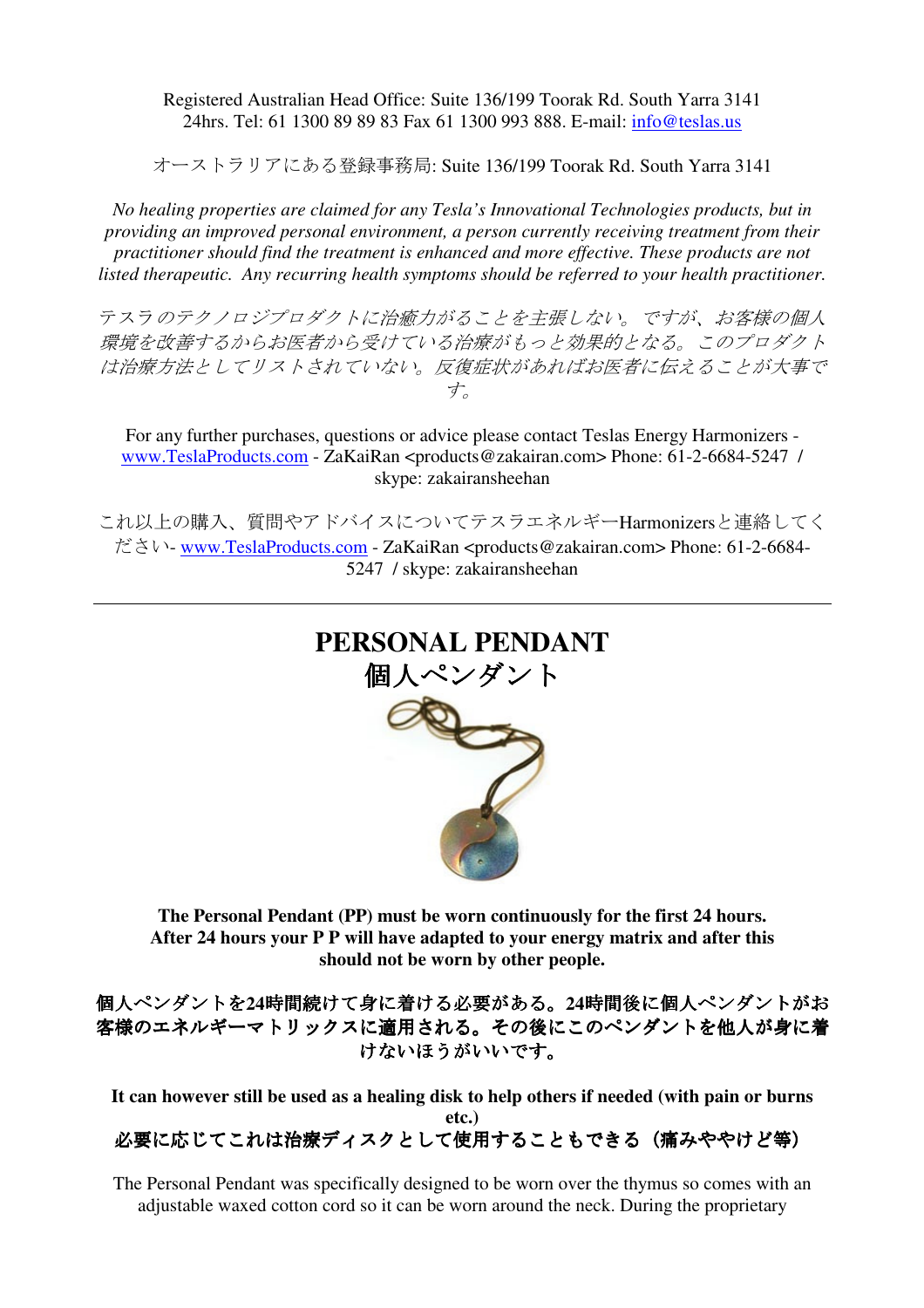#### Registered Australian Head Office: Suite 136/199 Toorak Rd. South Yarra 3141 24hrs. Tel: 61 1300 89 89 83 Fax 61 1300 993 888. E-mail: info@teslas.us

オーストラリアにある登録事務局: Suite 136/199 Toorak Rd. South Yarra 3141

*No healing properties are claimed for any Tesla's Innovational Technologies products, but in providing an improved personal environment, a person currently receiving treatment from their practitioner should find the treatment is enhanced and more effective. These products are not listed therapeutic. Any recurring health symptoms should be referred to your health practitioner.* 

テスラのテクノロジプロダクトに治癒力がることを主張しない。ですが、お客様の個人 環境を改善するからお医者から受けている治療がもっと効果的となる。このプロダクト は治療方法としてリストされていない。反復症状があればお医者に伝えることが大事で す。

For any further purchases, questions or advice please contact Teslas Energy Harmonizers www.TeslaProducts.com - ZaKaiRan <products@zakairan.com> Phone: 61-2-6684-5247 / skype: zakairansheehan

これ以上の購入、質問やアドバイスについてテスラエネルギーHarmonizersと連絡してく ださい- www.TeslaProducts.com - ZaKaiRan <products@zakairan.com> Phone: 61-2-6684- 5247 / skype: zakairansheehan



**The Personal Pendant (PP) must be worn continuously for the first 24 hours. After 24 hours your P P will have adapted to your energy matrix and after this should not be worn by other people.** 

個人ペンダントを**24**時間続けて身に着ける必要がある。**24**時間後に個人ペンダントがお 客様のエネルギーマトリックスに適用される。その後にこのペンダントを他人が身に着 けないほうがいいです。

**It can however still be used as a healing disk to help others if needed (with pain or burns etc.)**  必要に応じてこれは治療ディスクとして使用することもできる(痛みややけど等)

The Personal Pendant was specifically designed to be worn over the thymus so comes with an adjustable waxed cotton cord so it can be worn around the neck. During the proprietary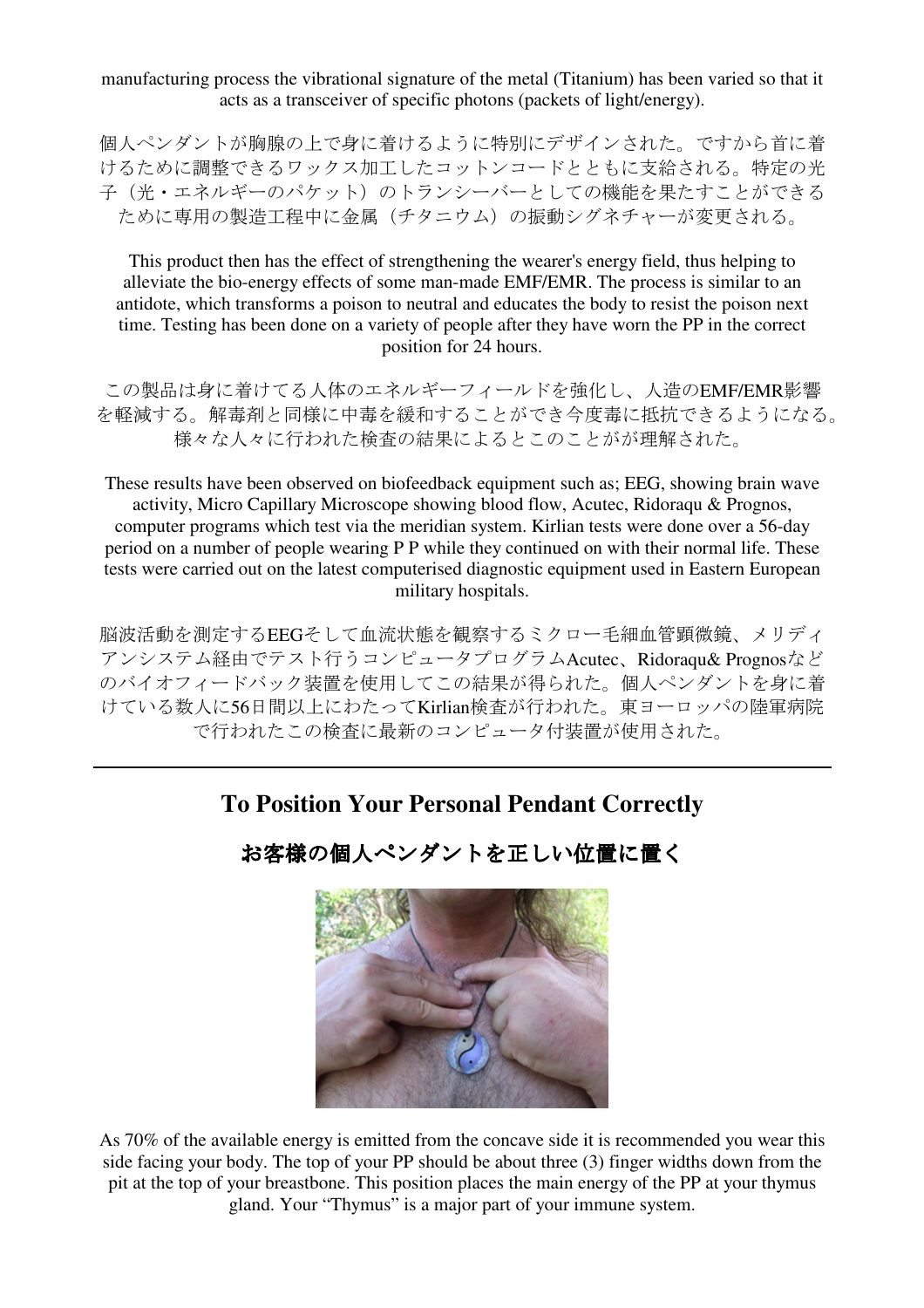manufacturing process the vibrational signature of the metal (Titanium) has been varied so that it acts as a transceiver of specific photons (packets of light/energy).

個人ペンダントが胸腺の上で身に着けるように特別にデザインされた。ですから首に着 けるために調整できるワックス加工したコットンコードとともに支給される。特定の光 子(光·エネルギーのパケット)のトランシーバーとしての機能を果たすことができる ために専用の製造工程中に金属(チタニウム)の振動シグネチャーが変更される。

This product then has the effect of strengthening the wearer's energy field, thus helping to alleviate the bio-energy effects of some man-made EMF/EMR. The process is similar to an antidote, which transforms a poison to neutral and educates the body to resist the poison next time. Testing has been done on a variety of people after they have worn the PP in the correct position for 24 hours.

この製品は身に着けてる人体のエネルギーフィールドを強化し、人造のEMF/EMR影響 を軽減する。解毒剤と同様に中毒を緩和することができ今度毒に抵抗できるようになる。 様々な人々に行われた検査の結果によるとこのことがが理解された。

These results have been observed on biofeedback equipment such as; EEG, showing brain wave activity, Micro Capillary Microscope showing blood flow, Acutec, Ridoraqu & Prognos, computer programs which test via the meridian system. Kirlian tests were done over a 56-day period on a number of people wearing P P while they continued on with their normal life. These tests were carried out on the latest computerised diagnostic equipment used in Eastern European military hospitals.

脳波活動を測定するEEGそして血流状態を観察するミクロー毛細血管顕微鏡、メリディ アンシステム経由でテスト行うコンピュータプログラムAcutec、Ridoraqu& Prognosなど のバイオフィードバック装置を使用してこの結果が得られた。個人ペンダントを身に着 けている数人に56日間以上にわたってKirlian検査が行われた。東ヨーロッパの陸軍病院 で行われたこの検査に最新のコンピュータ付装置が使用された。

## **To Position Your Personal Pendant Correctly**



お客様の個人ペンダントを正しい位置に置く

As 70% of the available energy is emitted from the concave side it is recommended you wear this side facing your body. The top of your PP should be about three (3) finger widths down from the pit at the top of your breastbone. This position places the main energy of the PP at your thymus gland. Your "Thymus" is a major part of your immune system.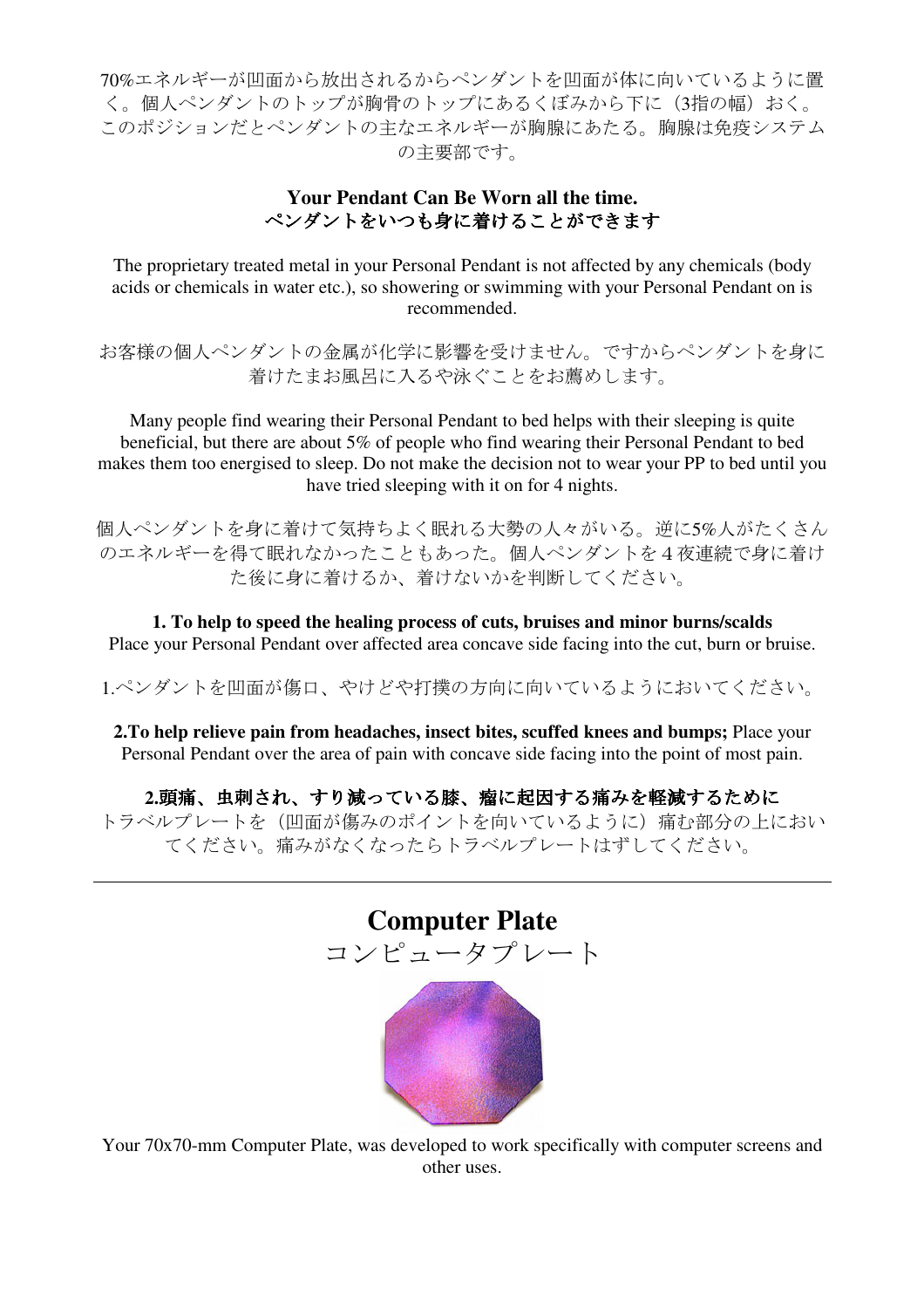70%エネルギーが凹面から放出されるからペンダントを凹面が体に向いているように置 く。個人ペンダントのトップが胸骨のトップにあるくぼみから下に(3指の幅)おく。 このポジションだとペンダントの主なエネルギーが胸腺にあたる。胸腺は免疫システム の主要部です。

## **Your Pendant Can Be Worn all the time.** ペンダントをいつも身に着けることができます

The proprietary treated metal in your Personal Pendant is not affected by any chemicals (body acids or chemicals in water etc.), so showering or swimming with your Personal Pendant on is recommended.

お客様の個人ペンダントの金属が化学に影響を受けません。ですからペンダントを身に 着けたまお風呂に入るや泳ぐことをお薦めします。

Many people find wearing their Personal Pendant to bed helps with their sleeping is quite beneficial, but there are about 5% of people who find wearing their Personal Pendant to bed makes them too energised to sleep. Do not make the decision not to wear your PP to bed until you have tried sleeping with it on for 4 nights.

個人ペンダントを身に着けて気持ちよく眠れる大勢の人々がいる。逆に5%人がたくさん のエネルギーを得て眠れなかったこともあった。個人ペンダントを4夜連続で身に着け た後に身に着けるか、着けないかを判断してください。

**1. To help to speed the healing process of cuts, bruises and minor burns/scalds**  Place your Personal Pendant over affected area concave side facing into the cut, burn or bruise.

1.ペンダントを凹面が傷口、やけどや打撲の方向に向いているようにおいてください。

**2.To help relieve pain from headaches, insect bites, scuffed knees and bumps;** Place your Personal Pendant over the area of pain with concave side facing into the point of most pain.

2.頭痛、虫刺され、すり減っている膝、瘤に起因する痛みを軽減するために トラベルプレートを(凹面が傷みのポイントを向いているように)痛む部分の上におい てください。痛みがなくなったらトラベルプレートはずしてください。



Your 70x70-mm Computer Plate, was developed to work specifically with computer screens and other uses.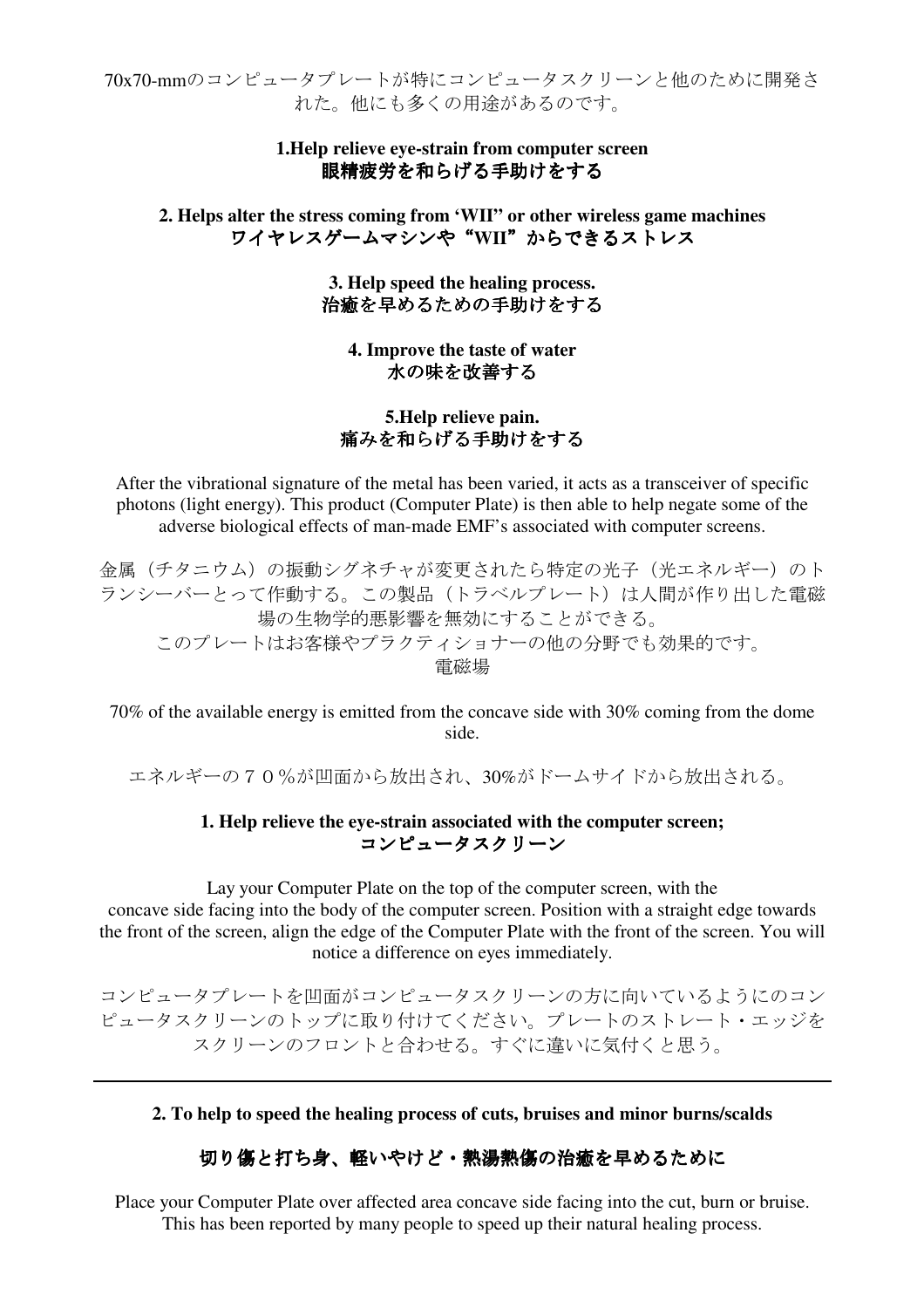70x70-mmのコンピュータプレートが特にコンピュータスクリーンと他のために開発さ れた。他にも多くの用途があるのです。

### **1.Help relieve eye-strain from computer screen**  眼精疲労を和らげる手助けをする

**2. Helps alter the stress coming from 'WII" or other wireless game machines**  ワイヤレスゲームマシンや"**WII**"からできるストレス

> **3. Help speed the healing process.**  治癒を早めるための手助けをする

**4. Improve the taste of water**  水の味を改善する

## **5.Help relieve pain.**  痛みを和らげる手助けをする

After the vibrational signature of the metal has been varied, it acts as a transceiver of specific photons (light energy). This product (Computer Plate) is then able to help negate some of the adverse biological effects of man-made EMF's associated with computer screens.

金属(チタニウム)の振動シグネチャが変更されたら特定の光子(光エネルギー)のト ランシーバーとって作動する。この製品(トラベルプレート)は人間が作り出した電磁 場の生物学的悪影響を無効にすることができる。 このプレートはお客様やプラクティショナーの他の分野でも効果的です。 電磁場

70% of the available energy is emitted from the concave side with 30% coming from the dome side.

エネルギーの70%が凹面から放出され、30%がドームサイドから放出される。

#### **1. Help relieve the eye-strain associated with the computer screen;**  コンピュータスクリーン

Lay your Computer Plate on the top of the computer screen, with the concave side facing into the body of the computer screen. Position with a straight edge towards the front of the screen, align the edge of the Computer Plate with the front of the screen. You will notice a difference on eyes immediately.

コンピュータプレートを凹面がコンピュータスクリーンの方に向いているようにのコン ピュータスクリーンのトップに取り付けてください。プレートのストレート・エッジを スクリーンのフロントと合わせる。すぐに違いに気付くと思う。

**2. To help to speed the healing process of cuts, bruises and minor burns/scalds** 

### 切り傷と打ち身、軽いやけど・熱湯熱傷の治癒を早めるために

Place your Computer Plate over affected area concave side facing into the cut, burn or bruise. This has been reported by many people to speed up their natural healing process.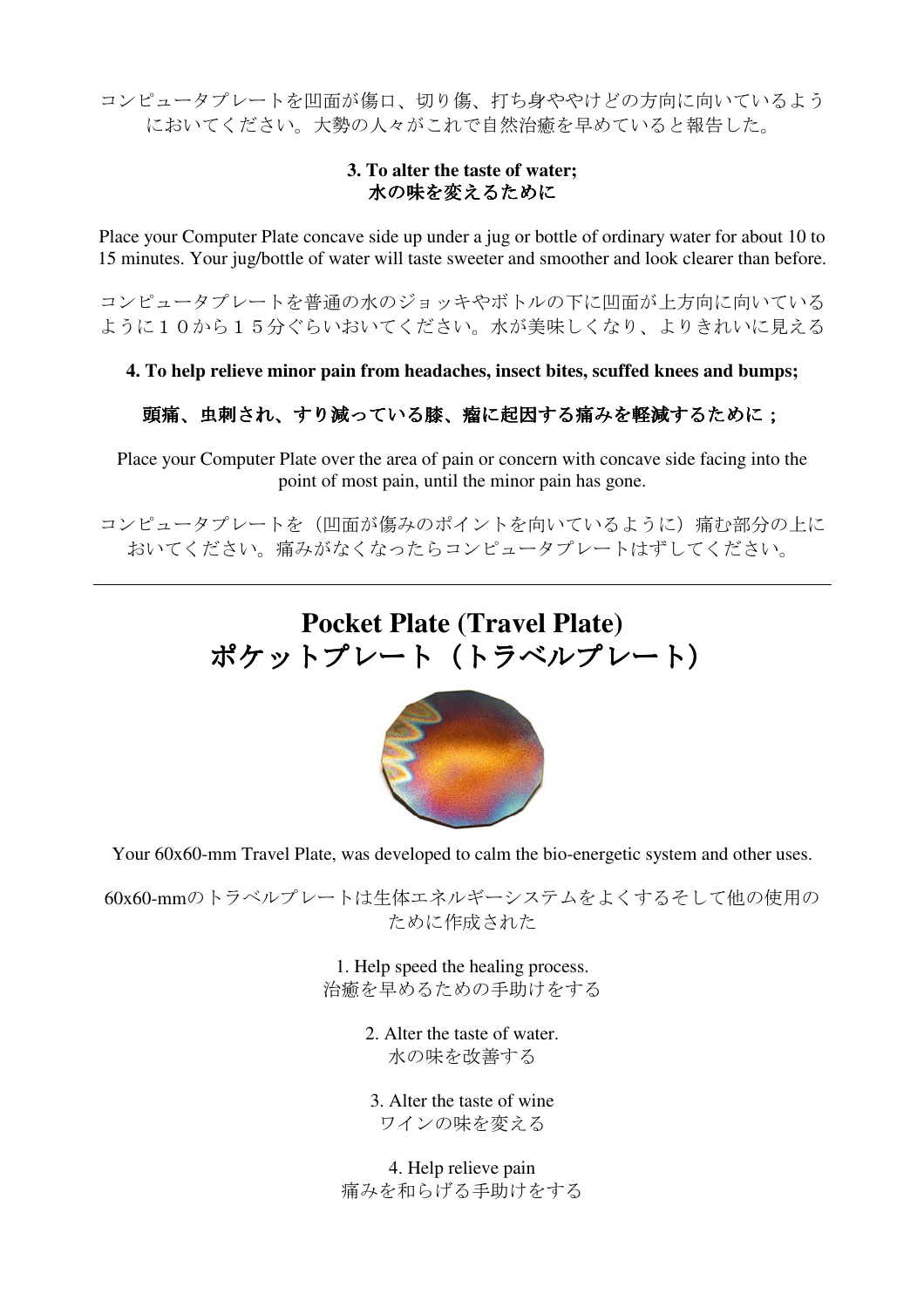コンピュータプレートを凹面が傷口、切り傷、打ち身ややけどの方向に向いているよう においてください。大勢の人々がこれで自然治癒を早めていると報告した。

## **3. To alter the taste of water;**  水の味を変えるために

Place your Computer Plate concave side up under a jug or bottle of ordinary water for about 10 to 15 minutes. Your jug/bottle of water will taste sweeter and smoother and look clearer than before.

コンピュータプレートを普通の水のジョッキやボトルの下に凹面が上方向に向いている ように10から15分ぐらいおいてください。水が美味しくなり、よりきれいに見える

**4. To help relieve minor pain from headaches, insect bites, scuffed knees and bumps;** 

## 頭痛、虫刺され、すり減っている膝、瘤に起因する痛みを軽減するために;

Place your Computer Plate over the area of pain or concern with concave side facing into the point of most pain, until the minor pain has gone.

コンピュータプレートを(凹面が傷みのポイントを向いているように)痛む部分の上に おいてください。痛みがなくなったらコンピュータプレートはずしてください。

# **Pocket Plate (Travel Plate)** ポケットプレート(トラベルプレート)



Your 60x60-mm Travel Plate, was developed to calm the bio-energetic system and other uses.

60x60-mmのトラベルプレートは生体エネルギーシステムをよくするそして他の使用の ために作成された

> 1. Help speed the healing process. 治癒を早めるための手助けをする

> > 2. Alter the taste of water. 水の味を改善する

3. Alter the taste of wine ワインの味を変える

4. Help relieve pain 痛みを和らげる手助けをする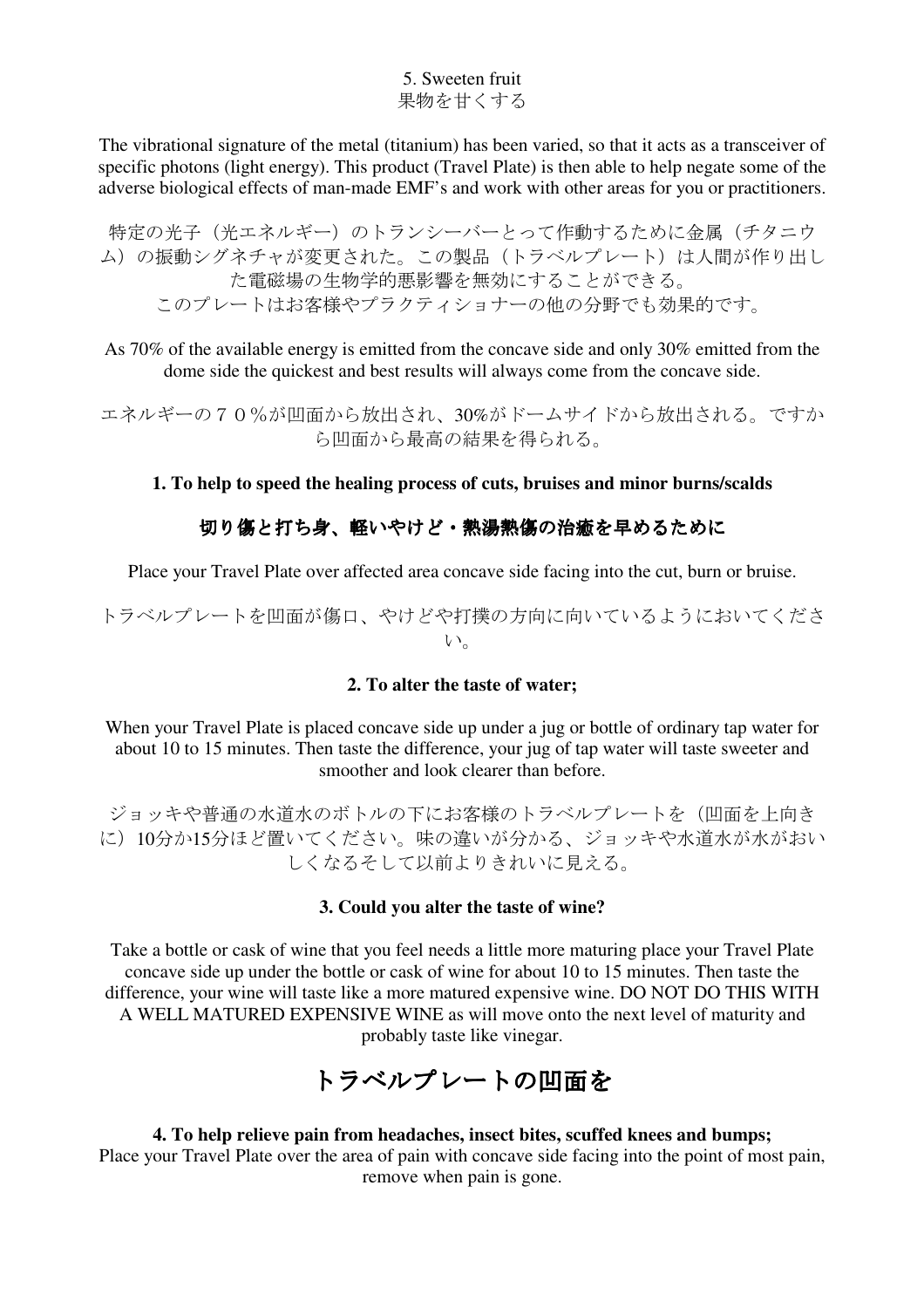5. Sweeten fruit 果物を甘くする

The vibrational signature of the metal (titanium) has been varied, so that it acts as a transceiver of specific photons (light energy). This product (Travel Plate) is then able to help negate some of the adverse biological effects of man-made EMF's and work with other areas for you or practitioners.

特定の光子(光エネルギー)のトランシーバーとって作動するために金属(チタニウ ム)の振動シグネチャが変更された。この製品(トラベルプレート)は人間が作り出し た電磁場の生物学的悪影響を無効にすることができる。 このプレートはお客様やプラクティショナーの他の分野でも効果的です。

As 70% of the available energy is emitted from the concave side and only 30% emitted from the dome side the quickest and best results will always come from the concave side.

エネルギーの70%が凹面から放出され、30%がドームサイドから放出される。ですか ら凹面から最高の結果を得られる。

### **1. To help to speed the healing process of cuts, bruises and minor burns/scalds**

## 切り傷と打ち身、軽いやけど・熱湯熱傷の治癒を早めるために

Place your Travel Plate over affected area concave side facing into the cut, burn or bruise.

トラベルプレートを凹面が傷口、やけどや打撲の方向に向いているようにおいてくださ い。

#### **2. To alter the taste of water;**

When your Travel Plate is placed concave side up under a jug or bottle of ordinary tap water for about 10 to 15 minutes. Then taste the difference, your jug of tap water will taste sweeter and smoother and look clearer than before.

ジョッキや普通の水道水のボトルの下にお客様のトラベルプレートを(凹面を上向き に)10分か15分ほど置いてください。味の違いが分かる、ジョッキや水道水が水がおい しくなるそして以前よりきれいに見える。

#### **3. Could you alter the taste of wine?**

Take a bottle or cask of wine that you feel needs a little more maturing place your Travel Plate concave side up under the bottle or cask of wine for about 10 to 15 minutes. Then taste the difference, your wine will taste like a more matured expensive wine. DO NOT DO THIS WITH A WELL MATURED EXPENSIVE WINE as will move onto the next level of maturity and probably taste like vinegar.

## トラベルプレートの凹面を

## **4. To help relieve pain from headaches, insect bites, scuffed knees and bumps;**  Place your Travel Plate over the area of pain with concave side facing into the point of most pain,

remove when pain is gone.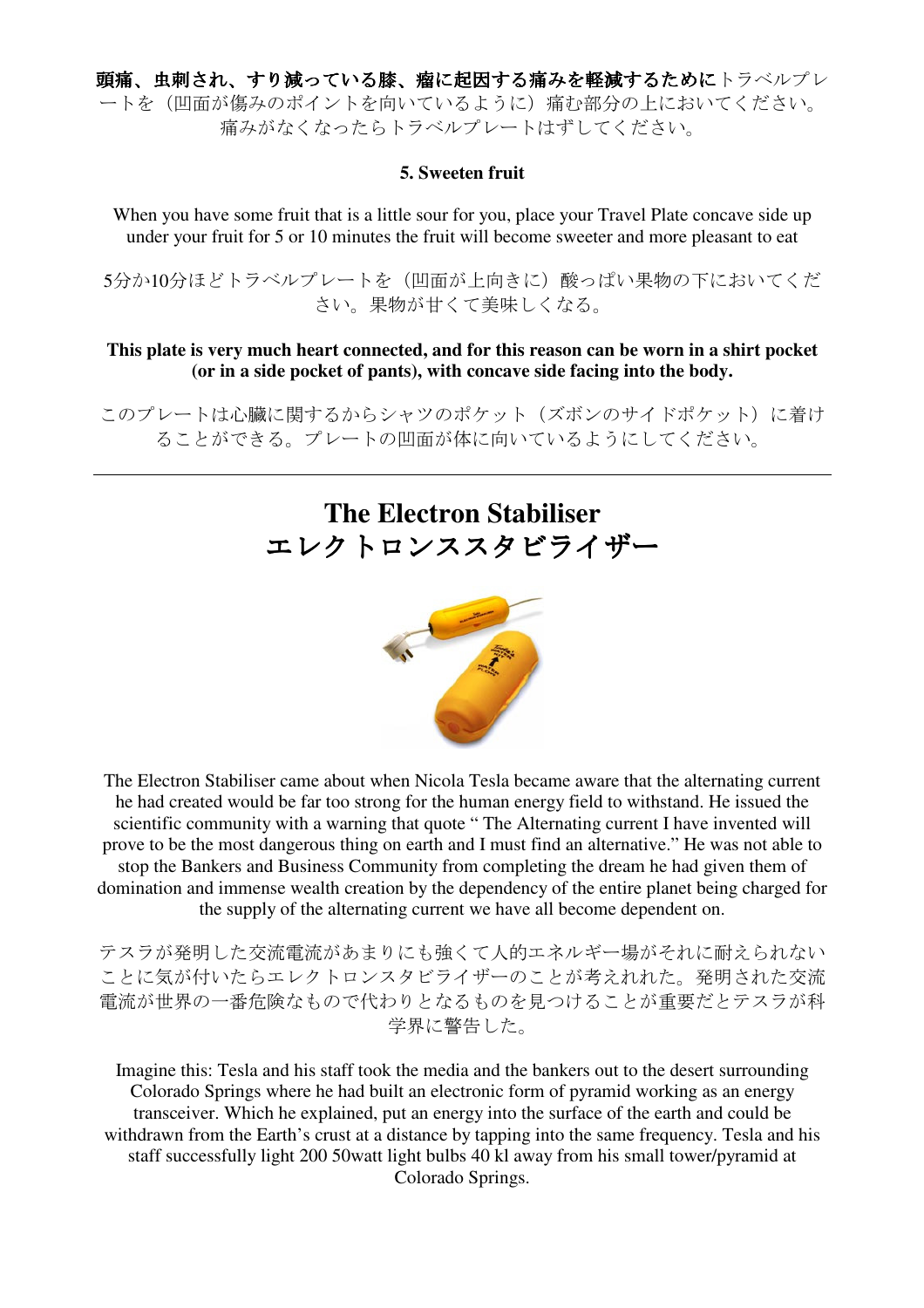頭痛、虫刺され、すり減っている膝、瘤に起因する痛みを軽減するためにトラベルプレ ートを(凹面が傷みのポイントを向いているように)痛む部分の上においてください。 痛みがなくなったらトラベルプレートはずしてください。

#### **5. Sweeten fruit**

When you have some fruit that is a little sour for you, place your Travel Plate concave side up under your fruit for 5 or 10 minutes the fruit will become sweeter and more pleasant to eat

5分か10分ほどトラベルプレートを(凹面が上向きに)酸っぱい果物の下においてくだ さい。果物が甘くて美味しくなる。

### **This plate is very much heart connected, and for this reason can be worn in a shirt pocket (or in a side pocket of pants), with concave side facing into the body.**

このプレートは心臓に関するからシャツのポケット(ズボンのサイドポケット)に着け ることができる。プレートの凹面が体に向いているようにしてください。

# **The Electron Stabiliser** エレクトロンススタビライザー



The Electron Stabiliser came about when Nicola Tesla became aware that the alternating current he had created would be far too strong for the human energy field to withstand. He issued the scientific community with a warning that quote " The Alternating current I have invented will prove to be the most dangerous thing on earth and I must find an alternative." He was not able to stop the Bankers and Business Community from completing the dream he had given them of domination and immense wealth creation by the dependency of the entire planet being charged for the supply of the alternating current we have all become dependent on.

テスラが発明した交流電流があまりにも強くて人的エネルギー場がそれに耐えられない ことに気が付いたらエレクトロンスタビライザーのことが考えれれた。発明された交流 電流が世界の一番危険なもので代わりとなるものを見つけることが重要だとテスラが科 学界に警告した。

Imagine this: Tesla and his staff took the media and the bankers out to the desert surrounding Colorado Springs where he had built an electronic form of pyramid working as an energy transceiver. Which he explained, put an energy into the surface of the earth and could be withdrawn from the Earth's crust at a distance by tapping into the same frequency. Tesla and his staff successfully light 200 50watt light bulbs 40 kl away from his small tower/pyramid at Colorado Springs.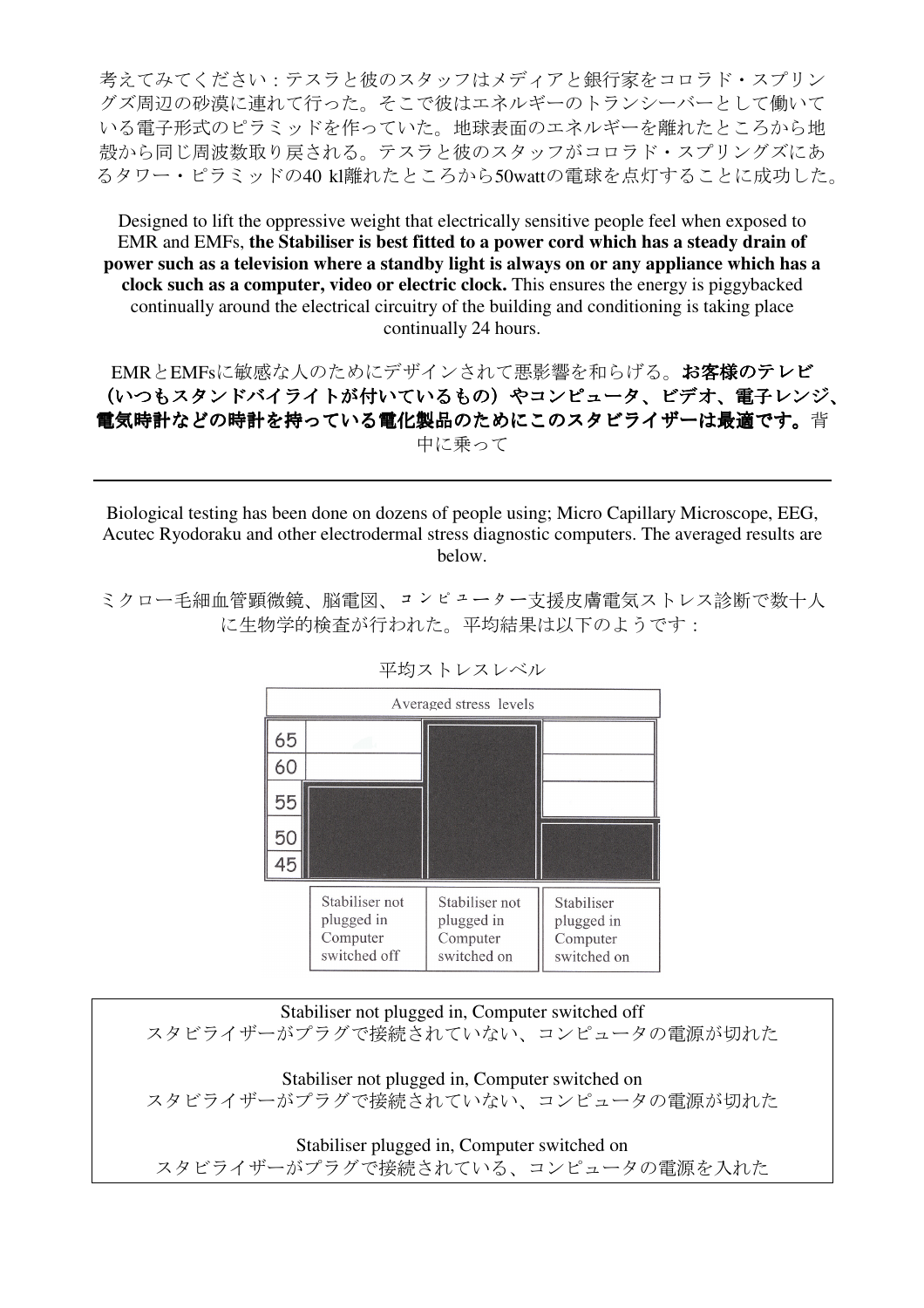考えてみてください:テスラと彼のスタッフはメディアと銀行家をコロラド・スプリン グズ周辺の砂漠に連れて行った。そこで彼はエネルギーのトランシーバーとして働いて いる電子形式のピラミッドを作っていた。地球表面のエネルギーを離れたところから地 殻から同じ周波数取り戻される。テスラと彼のスタッフがコロラド・スプリングズにあ るタワー・ピラミッドの40 kl離れたところから50wattの電球を点灯することに成功した。

Designed to lift the oppressive weight that electrically sensitive people feel when exposed to EMR and EMFs, **the Stabiliser is best fitted to a power cord which has a steady drain of power such as a television where a standby light is always on or any appliance which has a clock such as a computer, video or electric clock.** This ensures the energy is piggybacked continually around the electrical circuitry of the building and conditioning is taking place continually 24 hours.

EMRとEMFsに敏感な人のためにデザインされて悪影響を和らげる。お客様のテレビ (いつもスタンドバイライトが付いているもの)やコンピュータ、ビデオ、電子レンジ、 電気時計などの時計を持っている電化製品のためにこのスタビライザーは最適です。背 中に乗って

Biological testing has been done on dozens of people using; Micro Capillary Microscope, EEG, Acutec Ryodoraku and other electrodermal stress diagnostic computers. The averaged results are below.

ミクロー毛細血管顕微鏡、脳電図、コンピューター支援皮膚電気ストレス診断で数十人 に生物学的検査が行われた。平均結果は以下のようです:

| Averaged stress levels |                                                          |                                                         |                                                     |
|------------------------|----------------------------------------------------------|---------------------------------------------------------|-----------------------------------------------------|
| 65                     |                                                          |                                                         |                                                     |
| 60                     |                                                          |                                                         |                                                     |
| 55                     |                                                          |                                                         |                                                     |
| 50                     |                                                          |                                                         |                                                     |
| 45                     |                                                          |                                                         |                                                     |
|                        | Stabiliser not<br>plugged in<br>Computer<br>switched off | Stabiliser not<br>plugged in<br>Computer<br>switched on | Stabiliser<br>plugged in<br>Computer<br>switched on |

平均ストレスレベル

Stabiliser not plugged in, Computer switched off スタビライザーがプラグで接続されていない、コンピュータの電源が切れた Stabiliser not plugged in, Computer switched on スタビライザーがプラグで接続されていない、コンピュータの電源が切れた

Stabiliser plugged in, Computer switched on スタビライザーがプラグで接続されている、コンピュータの電源を入れた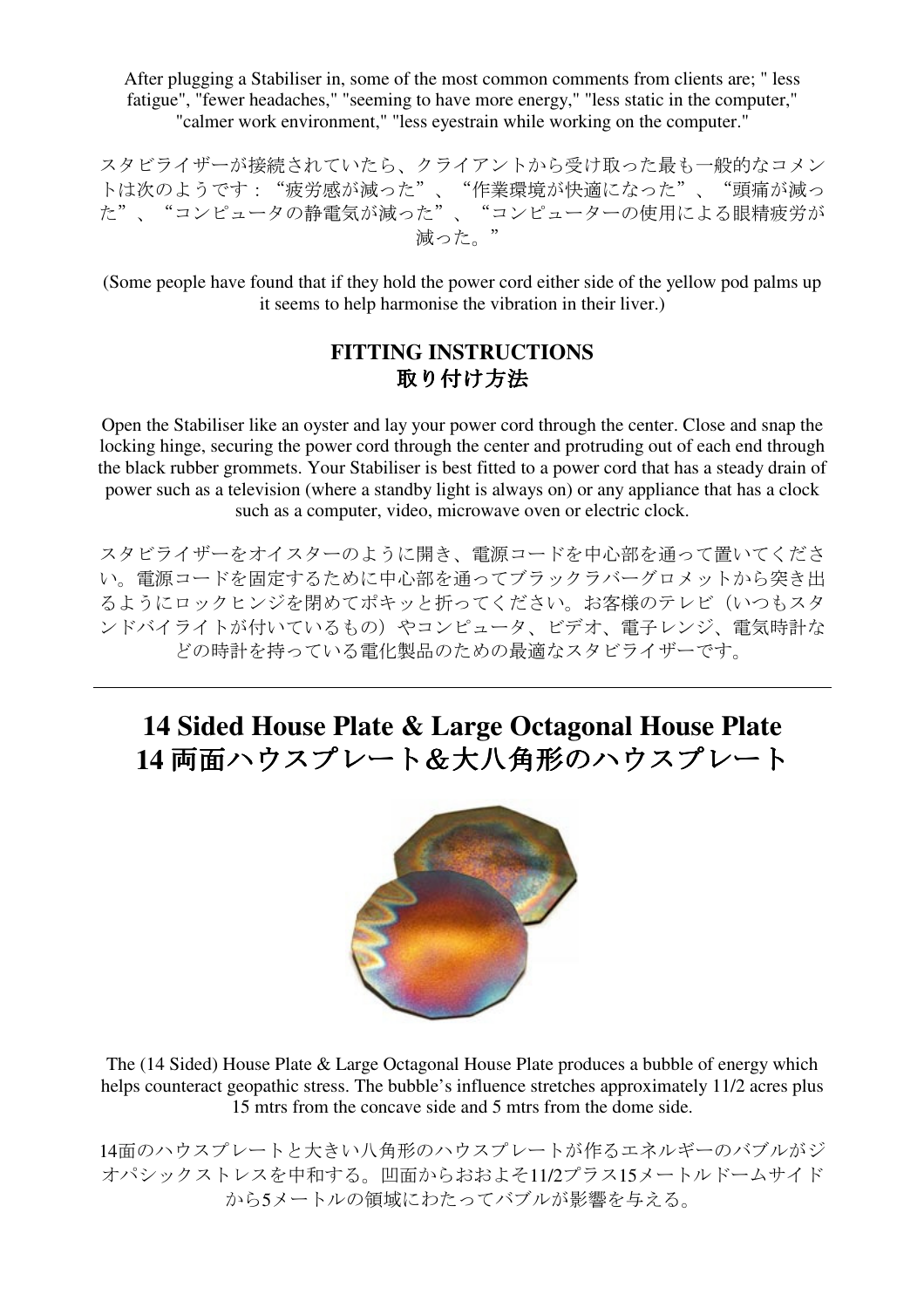After plugging a Stabiliser in, some of the most common comments from clients are; " less fatigue", "fewer headaches," "seeming to have more energy," "less static in the computer," "calmer work environment," "less eyestrain while working on the computer."

スタビライザーが接続されていたら、クライアントから受け取った最も一般的なコメン トは次のようです:"疲労感が減った"、"作業環境が快適になった"、"頭痛が減っ た"、"コンピュータの静電気が減った"、"コンピューターの使用による眼精疲労が 減った。"

(Some people have found that if they hold the power cord either side of the yellow pod palms up it seems to help harmonise the vibration in their liver.)

## **FITTING INSTRUCTIONS** 取り付け方法

Open the Stabiliser like an oyster and lay your power cord through the center. Close and snap the locking hinge, securing the power cord through the center and protruding out of each end through the black rubber grommets. Your Stabiliser is best fitted to a power cord that has a steady drain of power such as a television (where a standby light is always on) or any appliance that has a clock such as a computer, video, microwave oven or electric clock.

スタビライザーをオイスターのように開き、電源コードを中心部を通って置いてくださ い。電源コードを固定するために中心部を通ってブラックラバーグロメットから突き出 るようにロックヒンジを閉めてポキッと折ってください。お客様のテレビ(いつもスタ ンドバイライトが付いているもの)やコンピュータ、ビデオ、電子レンジ、電気時計な どの時計を持っている電化製品のための最適なスタビライザーです。

# **14 Sided House Plate & Large Octagonal House Plate 14** 両面ハウスプレート&大八角形のハウスプレート



The (14 Sided) House Plate & Large Octagonal House Plate produces a bubble of energy which helps counteract geopathic stress. The bubble's influence stretches approximately 11/2 acres plus 15 mtrs from the concave side and 5 mtrs from the dome side.

14面のハウスプレートと大きい八角形のハウスプレートが作るエネルギーのバブルがジ オパシックストレスを中和する。凹面からおおよそ11/2プラス15メートルドームサイド から5メートルの領域にわたってバブルが影響を与える。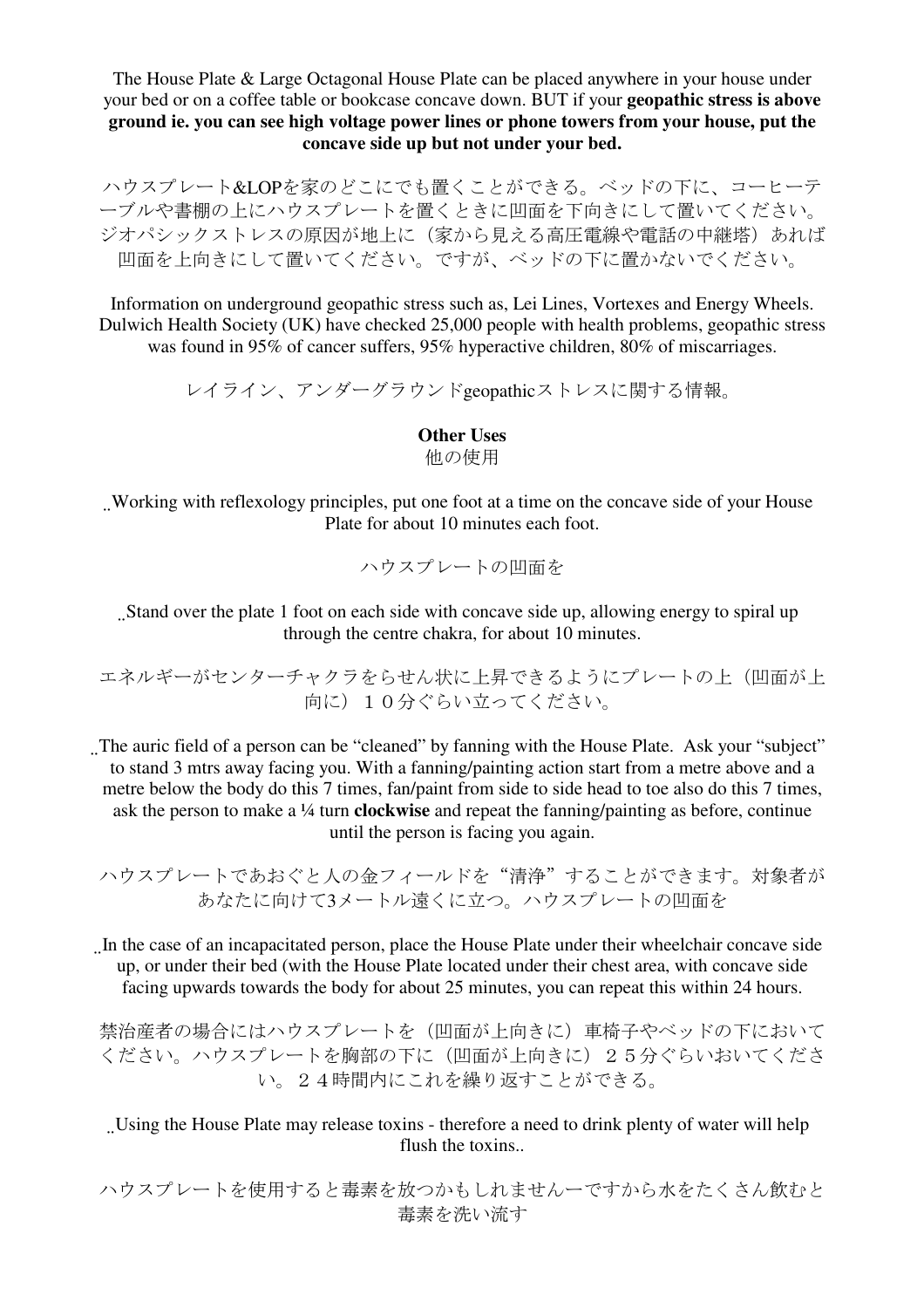The House Plate & Large Octagonal House Plate can be placed anywhere in your house under your bed or on a coffee table or bookcase concave down. BUT if your **geopathic stress is above ground ie. you can see high voltage power lines or phone towers from your house, put the concave side up but not under your bed.** 

ハウスプレート&LOPを家のどこにでも置くことができる。ベッドの下に、コーヒーテ ーブルや書棚の上にハウスプレートを置くときに凹面を下向きにして置いてください。 ジオパシックストレスの原因が地上に(家から見える高圧電線や電話の中継塔)あれば 凹面を上向きにして置いてください。ですが、ベッドの下に置かないでください。

Information on underground geopathic stress such as, Lei Lines, Vortexes and Energy Wheels. Dulwich Health Society (UK) have checked 25,000 people with health problems, geopathic stress was found in 95% of cancer suffers, 95% hyperactive children, 80% of miscarriages.

レイライン、アンダーグラウンドgeopathicストレスに関する情報。

**Other Uses**

他の使用

Working with reflexology principles, put one foot at a time on the concave side of your House Plate for about 10 minutes each foot.

ハウスプレートの凹面を

Stand over the plate 1 foot on each side with concave side up, allowing energy to spiral up through the centre chakra, for about 10 minutes.

エネルギーがセンターチャクラをらせん状に上昇できるようにプレートの上(凹面が上 向に)10分ぐらい立ってください。

. The auric field of a person can be "cleaned" by fanning with the House Plate. Ask your "subject" to stand 3 mtrs away facing you. With a fanning/painting action start from a metre above and a metre below the body do this 7 times, fan/paint from side to side head to toe also do this 7 times, ask the person to make a ¼ turn **clockwise** and repeat the fanning/painting as before, continue until the person is facing you again.

ハウスプレートであおぐと人の金フィールドを"清浄"することができます。対象者が あなたに向けて3メートル遠くに立つ。ハウスプレートの凹面を

In the case of an incapacitated person, place the House Plate under their wheelchair concave side up, or under their bed (with the House Plate located under their chest area, with concave side facing upwards towards the body for about 25 minutes, you can repeat this within 24 hours.

禁治産者の場合にはハウスプレートを(凹面が上向きに)車椅子やベッドの下において ください。ハウスプレートを胸部の下に(凹面が上向きに)25分ぐらいおいてくださ い。24時間内にこれを繰り返すことができる。

Using the House Plate may release toxins - therefore a need to drink plenty of water will help flush the toxins..

ハウスプレートを使用すると毒素を放つかもしれませんーですから水をたくさん飲むと 毒素を洗い流す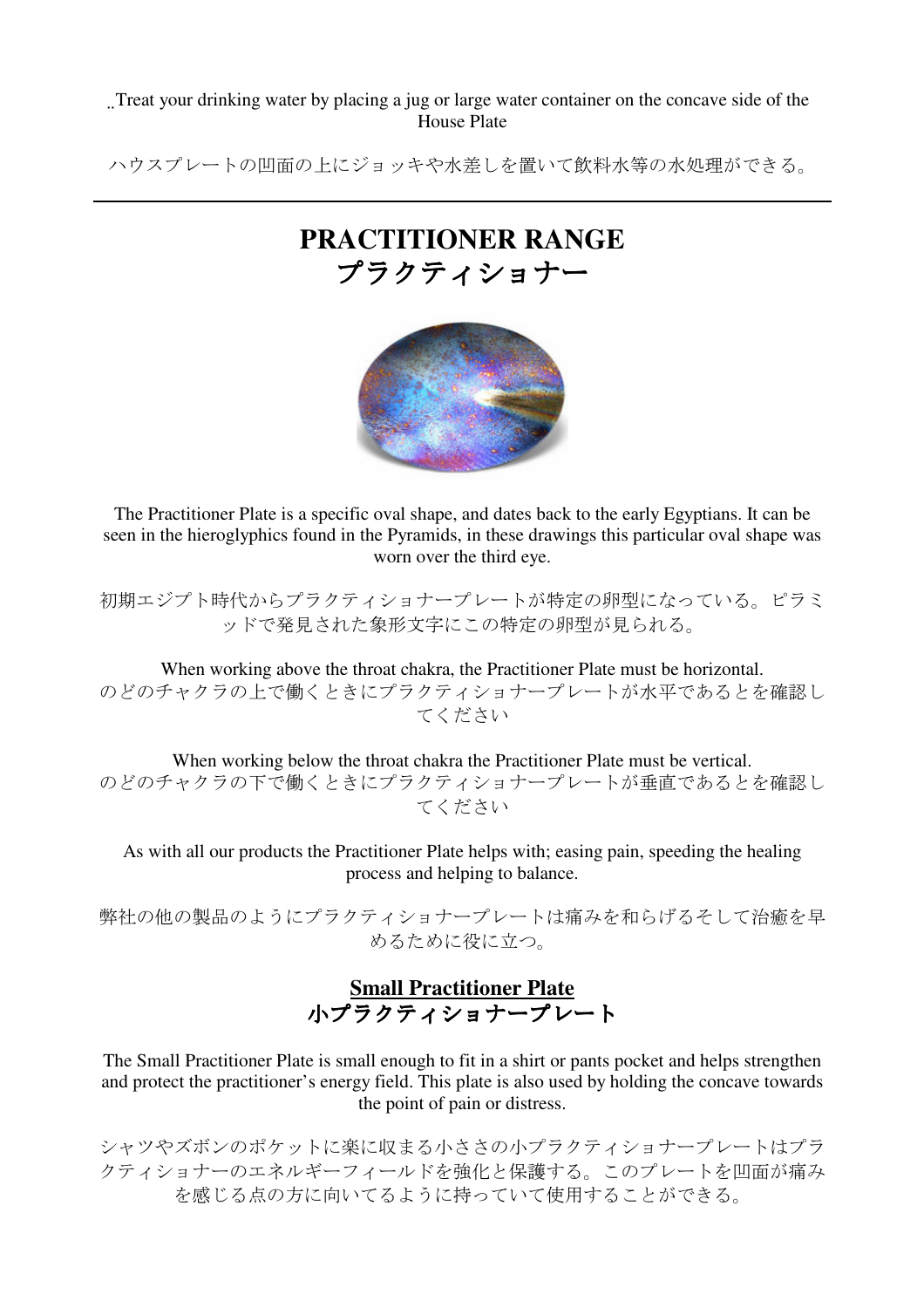Treat your drinking water by placing a jug or large water container on the concave side of the House Plate

ハウスプレートの凹面の上にジョッキや水差しを置いて飲料水等の水処理ができる。

# **PRACTITIONER RANGE** プラクティショナー



The Practitioner Plate is a specific oval shape, and dates back to the early Egyptians. It can be seen in the hieroglyphics found in the Pyramids, in these drawings this particular oval shape was worn over the third eye.

初期エジプト時代からプラクティショナープレートが特定の卵型になっている。ピラミ ッドで発見された象形文字にこの特定の卵型が見られる。

When working above the throat chakra, the Practitioner Plate must be horizontal. のどのチャクラの上で働くときにプラクティショナープレートが水平であるとを確認し てください

When working below the throat chakra the Practitioner Plate must be vertical. のどのチャクラの下で働くときにプラクティショナープレートが垂直であるとを確認し てください

As with all our products the Practitioner Plate helps with; easing pain, speeding the healing process and helping to balance.

弊社の他の製品のようにプラクティショナープレートは痛みを和らげるそして治癒を早 めるために役に立つ。

## **Small Practitioner Plate** 小プラクティショナープレート 小プラクティショナープレート

The Small Practitioner Plate is small enough to fit in a shirt or pants pocket and helps strengthen and protect the practitioner's energy field. This plate is also used by holding the concave towards the point of pain or distress.

シャツやズボンのポケットに楽に収まる小ささの小プラクティショナープレートはプラ クティショナーのエネルギーフィールドを強化と保護する。このプレートを凹面が痛み を感じる点の方に向いてるように持っていて使用することができる。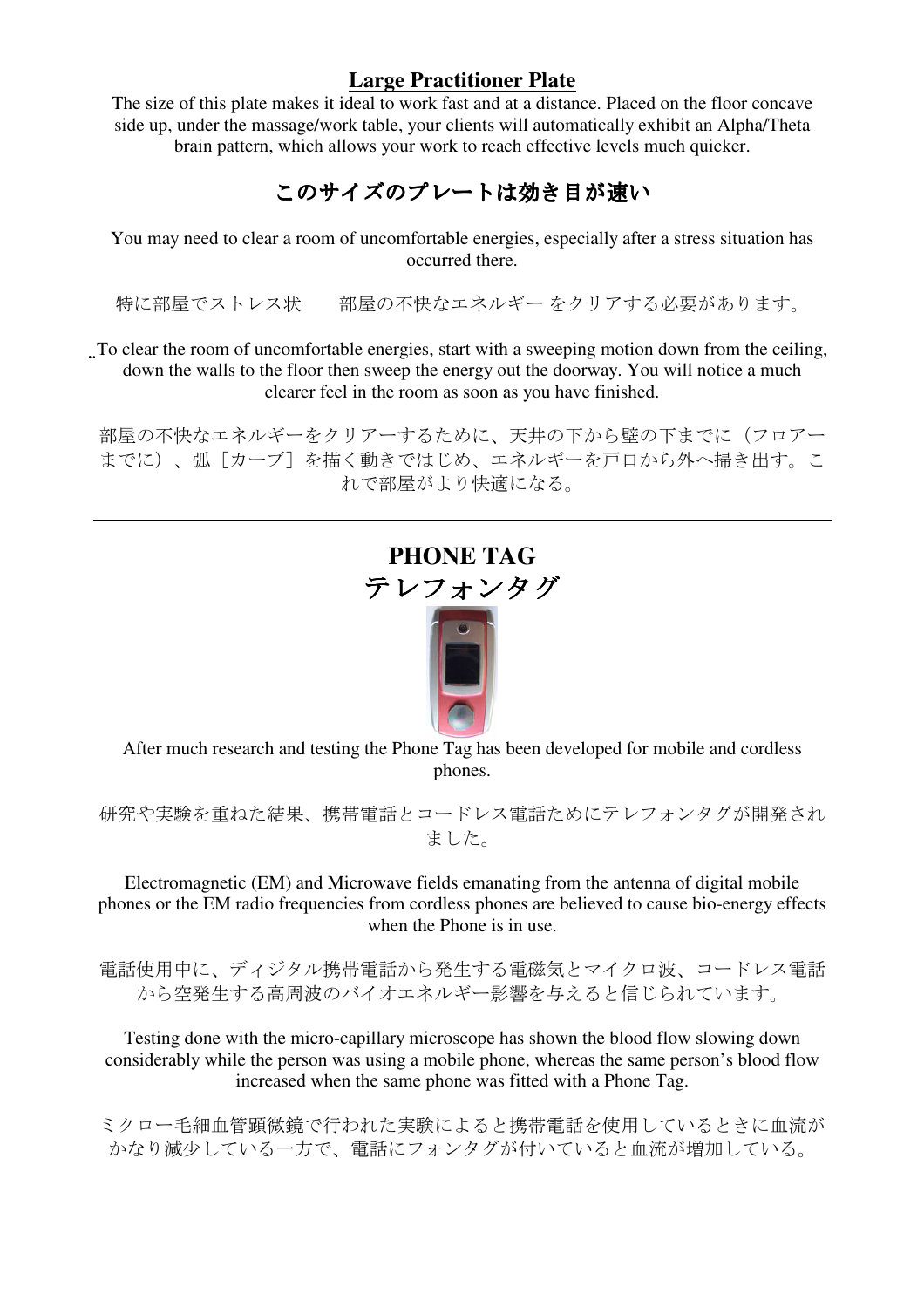## **Large Practitioner Plate**

The size of this plate makes it ideal to work fast and at a distance. Placed on the floor concave side up, under the massage/work table, your clients will automatically exhibit an Alpha/Theta brain pattern, which allows your work to reach effective levels much quicker.

## このサイズのプレートは効き目が速い

You may need to clear a room of uncomfortable energies, especially after a stress situation has occurred there.

特に部屋でストレス状 部屋の不快なエネルギー をクリアする必要があります。

To clear the room of uncomfortable energies, start with a sweeping motion down from the ceiling, down the walls to the floor then sweep the energy out the doorway. You will notice a much clearer feel in the room as soon as you have finished.

部屋の不快なエネルギーをクリアーするために、天井の下から壁の下までに(フロアー までに)、弧[カーブ]を描く動きではじめ、エネルギーを戸口から外へ掃き出す。こ れで部屋がより快適になる。

# **PHONE TAG**  テレフォンタグ



After much research and testing the Phone Tag has been developed for mobile and cordless phones.

研究や実験を重ねた結果、携帯電話とコードレス電話ためにテレフォンタグが開発され ました。

Electromagnetic (EM) and Microwave fields emanating from the antenna of digital mobile phones or the EM radio frequencies from cordless phones are believed to cause bio-energy effects when the Phone is in use.

電話使用中に、ディジタル携帯電話から発生する電磁気とマイクロ波、コードレス電話 から空発生する高周波のバイオエネルギー影響を与えると信じられています。

Testing done with the micro-capillary microscope has shown the blood flow slowing down considerably while the person was using a mobile phone, whereas the same person's blood flow increased when the same phone was fitted with a Phone Tag.

ミクロー毛細血管顕微鏡で行われた実験によると携帯電話を使用しているときに血流が かなり減少している一方で、電話にフォンタグが付いていると血流が増加している。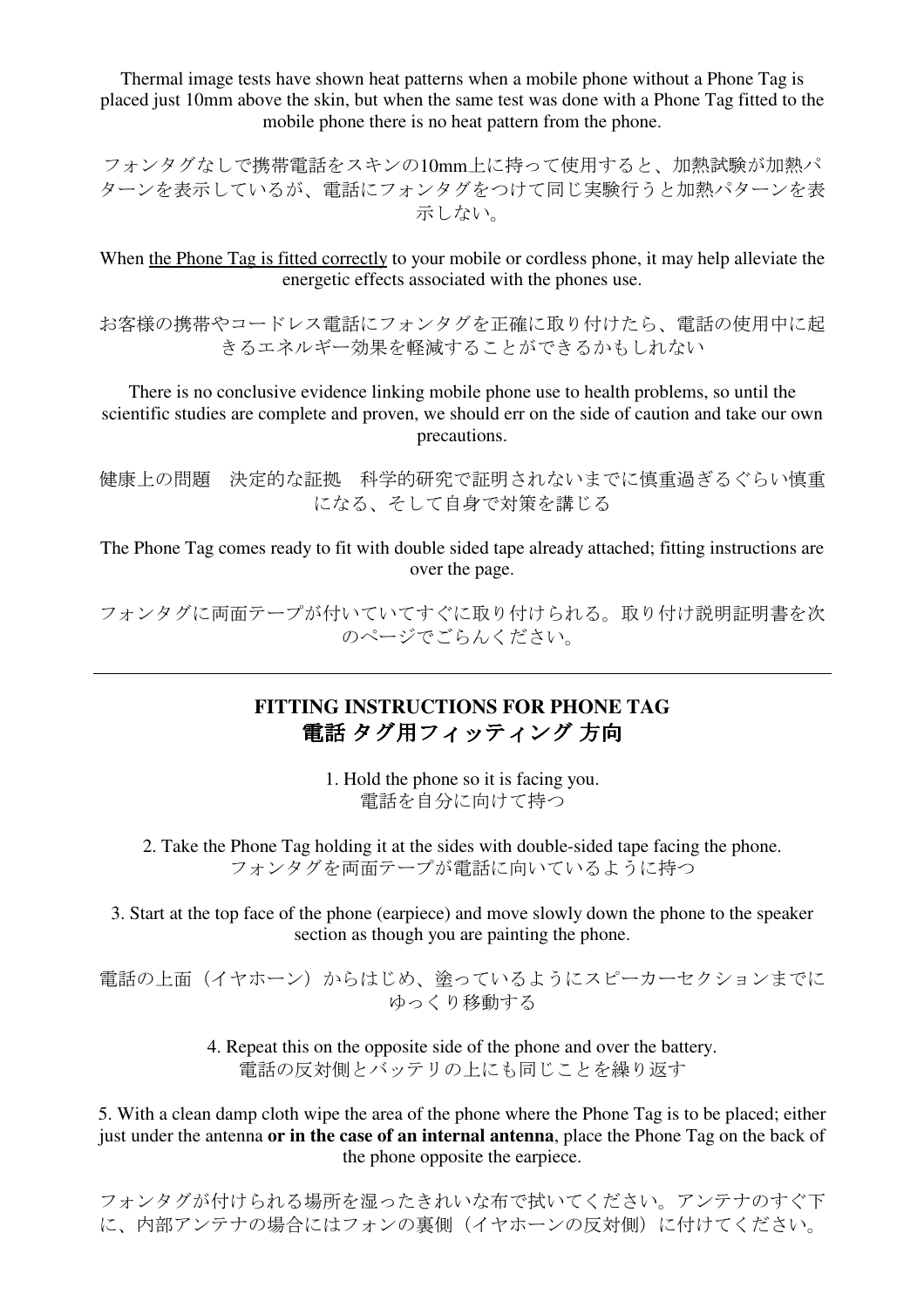Thermal image tests have shown heat patterns when a mobile phone without a Phone Tag is placed just 10mm above the skin, but when the same test was done with a Phone Tag fitted to the mobile phone there is no heat pattern from the phone.

フォンタグなしで携帯電話をスキンの10mm上に持って使用すると、加熱試験が加熱パ ターンを表示しているが、電話にフォンタグをつけて同じ実験行うと加熱パターンを表 示しない。

When the Phone Tag is fitted correctly to your mobile or cordless phone, it may help alleviate the energetic effects associated with the phones use.

お客様の携帯やコードレス電話にフォンタグを正確に取り付けたら、電話の使用中に起 きるエネルギー効果を軽減することができるかもしれない

There is no conclusive evidence linking mobile phone use to health problems, so until the scientific studies are complete and proven, we should err on the side of caution and take our own precautions.

健康上の問題 決定的な証拠 科学的研究で証明されないまでに慎重過ぎるぐらい慎重 になる、そして自身で対策を講じる

The Phone Tag comes ready to fit with double sided tape already attached; fitting instructions are over the page.

フォンタグに両面テープが付いていてすぐに取り付けられる。取り付け説明証明書を次 のページでごらんください。

## **FITTING INSTRUCTIONS FOR PHONE TAG**  電話 タグ用フィッティング 方向

1. Hold the phone so it is facing you. 電話を自分に向けて持つ

2. Take the Phone Tag holding it at the sides with double-sided tape facing the phone. フォンタグを両面テープが電話に向いているように持つ

3. Start at the top face of the phone (earpiece) and move slowly down the phone to the speaker section as though you are painting the phone.

電話の上面(イヤホーン)からはじめ、塗っているようにスピーカーセクションまでに ゆっくり移動する

> 4. Repeat this on the opposite side of the phone and over the battery. 電話の反対側とバッテリの上にも同じことを繰り返す

5. With a clean damp cloth wipe the area of the phone where the Phone Tag is to be placed; either just under the antenna **or in the case of an internal antenna**, place the Phone Tag on the back of the phone opposite the earpiece.

フォンタグが付けられる場所を湿ったきれいな布で拭いてください。アンテナのすぐ下 に、内部アンテナの場合にはフォンの裏側(イヤホーンの反対側)に付けてください。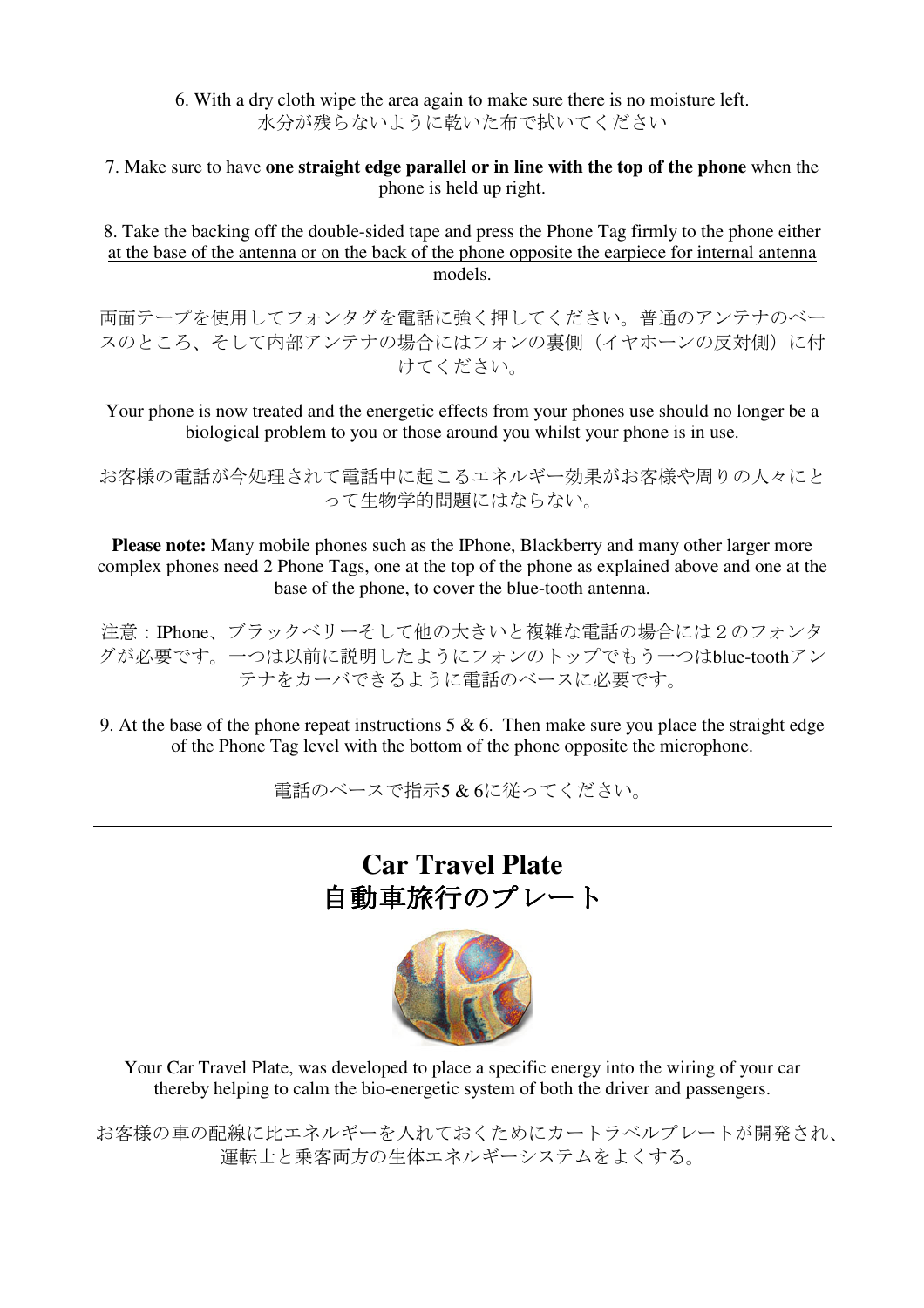6. With a dry cloth wipe the area again to make sure there is no moisture left. 水分が残らないように乾いた布で拭いてください

7. Make sure to have **one straight edge parallel or in line with the top of the phone** when the phone is held up right.

8. Take the backing off the double-sided tape and press the Phone Tag firmly to the phone either at the base of the antenna or on the back of the phone opposite the earpiece for internal antenna models.

両面テープを使用してフォンタグを電話に強く押してください。普通のアンテナのベー スのところ、そして内部アンテナの場合にはフォンの裏側(イヤホーンの反対側)に付 けてください。

Your phone is now treated and the energetic effects from your phones use should no longer be a biological problem to you or those around you whilst your phone is in use.

お客様の電話が今処理されて電話中に起こるエネルギー効果がお客様や周りの人々にと って生物学的問題にはならない。

**Please note:** Many mobile phones such as the IPhone, Blackberry and many other larger more complex phones need 2 Phone Tags, one at the top of the phone as explained above and one at the base of the phone, to cover the blue-tooth antenna.

注意:IPhone、ブラックベリーそして他の大きいと複雑な電話の場合には2のフォンタ グが必要です。一つは以前に説明したようにフォンのトップでもう一つはblue-toothアン テナをカーバできるように電話のベースに必要です。

9. At the base of the phone repeat instructions  $5 \& 6$ . Then make sure you place the straight edge of the Phone Tag level with the bottom of the phone opposite the microphone.

電話のベースで指示5 & 6に従ってください。

# **Car Travel Plate**  自動車旅行のプレート



Your Car Travel Plate, was developed to place a specific energy into the wiring of your car thereby helping to calm the bio-energetic system of both the driver and passengers.

お客様の車の配線に比エネルギーを入れておくためにカートラベルプレートが開発され、 運転士と乗客両方の生体エネルギーシステムをよくする。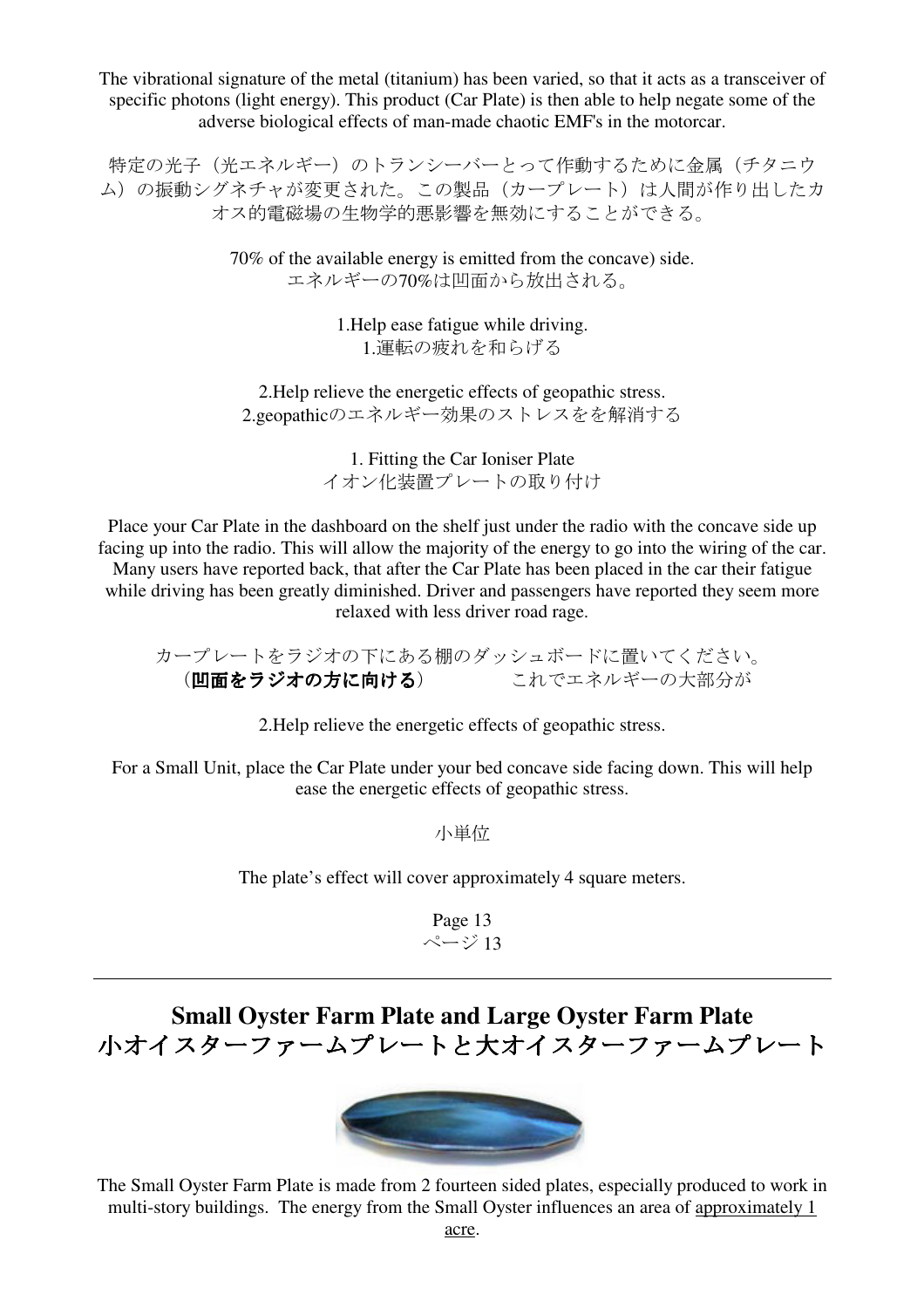The vibrational signature of the metal (titanium) has been varied, so that it acts as a transceiver of specific photons (light energy). This product (Car Plate) is then able to help negate some of the adverse biological effects of man-made chaotic EMF's in the motorcar.

特定の光子(光エネルギー)のトランシーバーとって作動するために金属(チタニウ ム)の振動シグネチャが変更された。この製品(カープレート)は人間が作り出したカ オス的電磁場の生物学的悪影響を無効にすることができる。

> 70% of the available energy is emitted from the concave) side. エネルギーの70%は凹面から放出される。

> > 1.Help ease fatigue while driving. 1.運転の疲れを和らげる

2.Help relieve the energetic effects of geopathic stress. 2.geopathicのエネルギー効果のストレスをを解消する

> 1. Fitting the Car Ioniser Plate イオン化装置プレートの取り付け

Place your Car Plate in the dashboard on the shelf just under the radio with the concave side up facing up into the radio. This will allow the majority of the energy to go into the wiring of the car. Many users have reported back, that after the Car Plate has been placed in the car their fatigue while driving has been greatly diminished. Driver and passengers have reported they seem more relaxed with less driver road rage.

カープレートをラジオの下にある棚のダッシュボードに置いてください。 (凹面をラジオの方に向ける) これでエネルギーの大部分が

2.Help relieve the energetic effects of geopathic stress.

For a Small Unit, place the Car Plate under your bed concave side facing down. This will help ease the energetic effects of geopathic stress.

小単位

The plate's effect will cover approximately 4 square meters.

Page 13  $\sim$ ージ13

## **Small Oyster Farm Plate and Large Oyster Farm Plate** 小オイスターファームプレートと大オイスターファームプレート



The Small Oyster Farm Plate is made from 2 fourteen sided plates, especially produced to work in multi-story buildings. The energy from the Small Oyster influences an area of approximately 1 acre.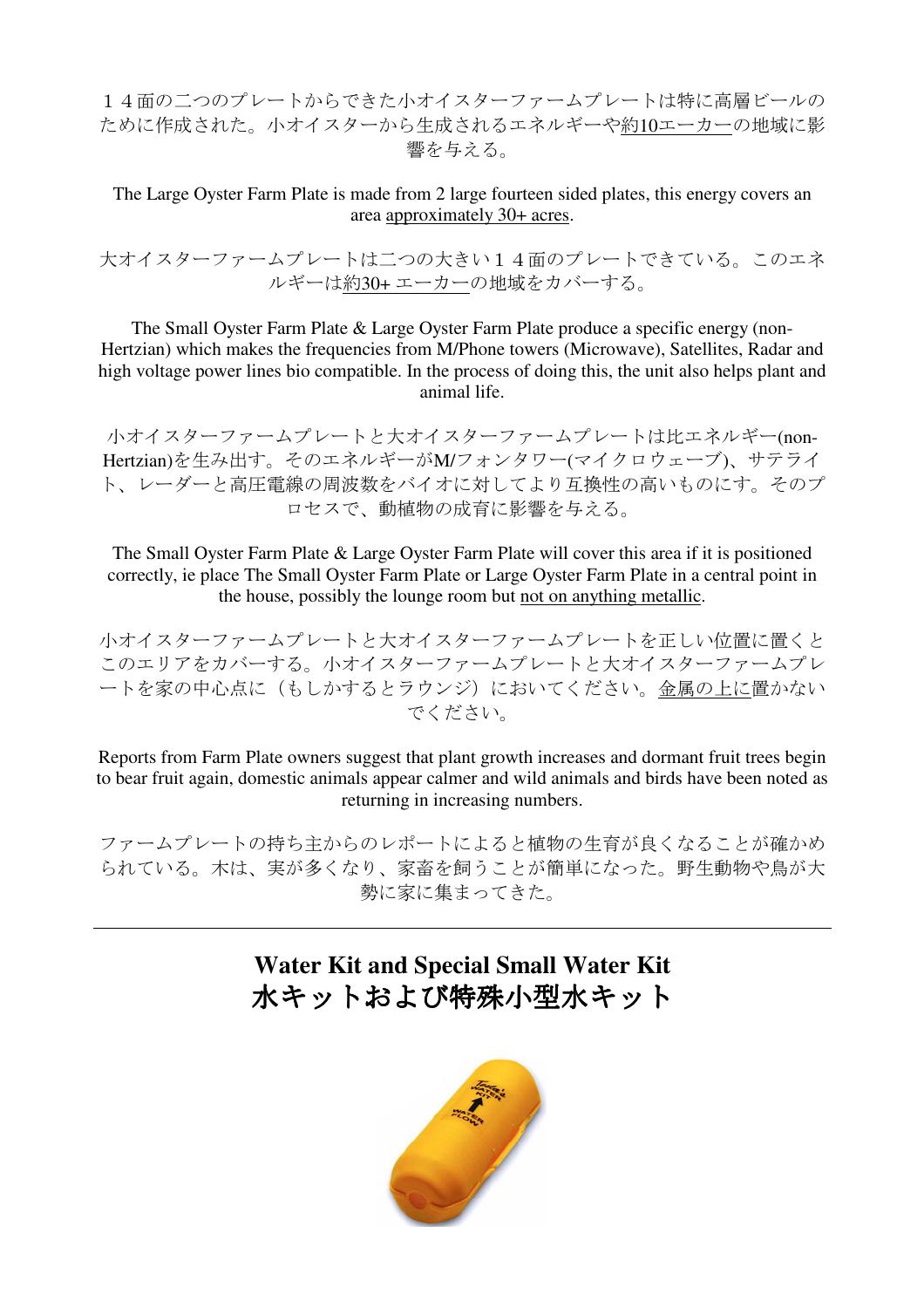14面の二つのプレートからできた小オイスターファームプレートは特に高層ビールの ために作成された。小オイスターから生成されるエネルギーや約10エーカーの地域に影 響を与える。

The Large Oyster Farm Plate is made from 2 large fourteen sided plates, this energy covers an area approximately 30+ acres.

大オイスターファームプレートは二つの大きい14面のプレートできている。このエネ ルギーは約30+ エーカーの地域をカバーする。

The Small Oyster Farm Plate & Large Oyster Farm Plate produce a specific energy (non-Hertzian) which makes the frequencies from M/Phone towers (Microwave), Satellites, Radar and high voltage power lines bio compatible. In the process of doing this, the unit also helps plant and animal life.

小オイスターファームプレートと大オイスターファームプレートは比エネルギー(non-Hertzian)を生み出す。そのエネルギーがM/フォンタワー(マイクロウェーブ)、サテライ ト、レーダーと高圧電線の周波数をバイオに対してより互換性の高いものにす。そのプ ロセスで、動植物の成育に影響を与える。

The Small Oyster Farm Plate & Large Oyster Farm Plate will cover this area if it is positioned correctly, ie place The Small Oyster Farm Plate or Large Oyster Farm Plate in a central point in the house, possibly the lounge room but not on anything metallic.

小オイスターファームプレートと大オイスターファームプレートを正しい位置に置くと このエリアをカバーする。小オイスターファームプレートと大オイスターファームプレ ートを家の中心点に(もしかするとラウンジ)においてください。金属の上に置かない でください。

Reports from Farm Plate owners suggest that plant growth increases and dormant fruit trees begin to bear fruit again, domestic animals appear calmer and wild animals and birds have been noted as returning in increasing numbers.

ファームプレートの持ち主からのレポートによると植物の生育が良くなることが確かめ られている。木は、実が多くなり、家畜を飼うことが簡単になった。野生動物や鳥が大 勢に家に集まってきた。

## **Water Kit and Special Small Water Kit**  水キットおよび特殊小型水キット

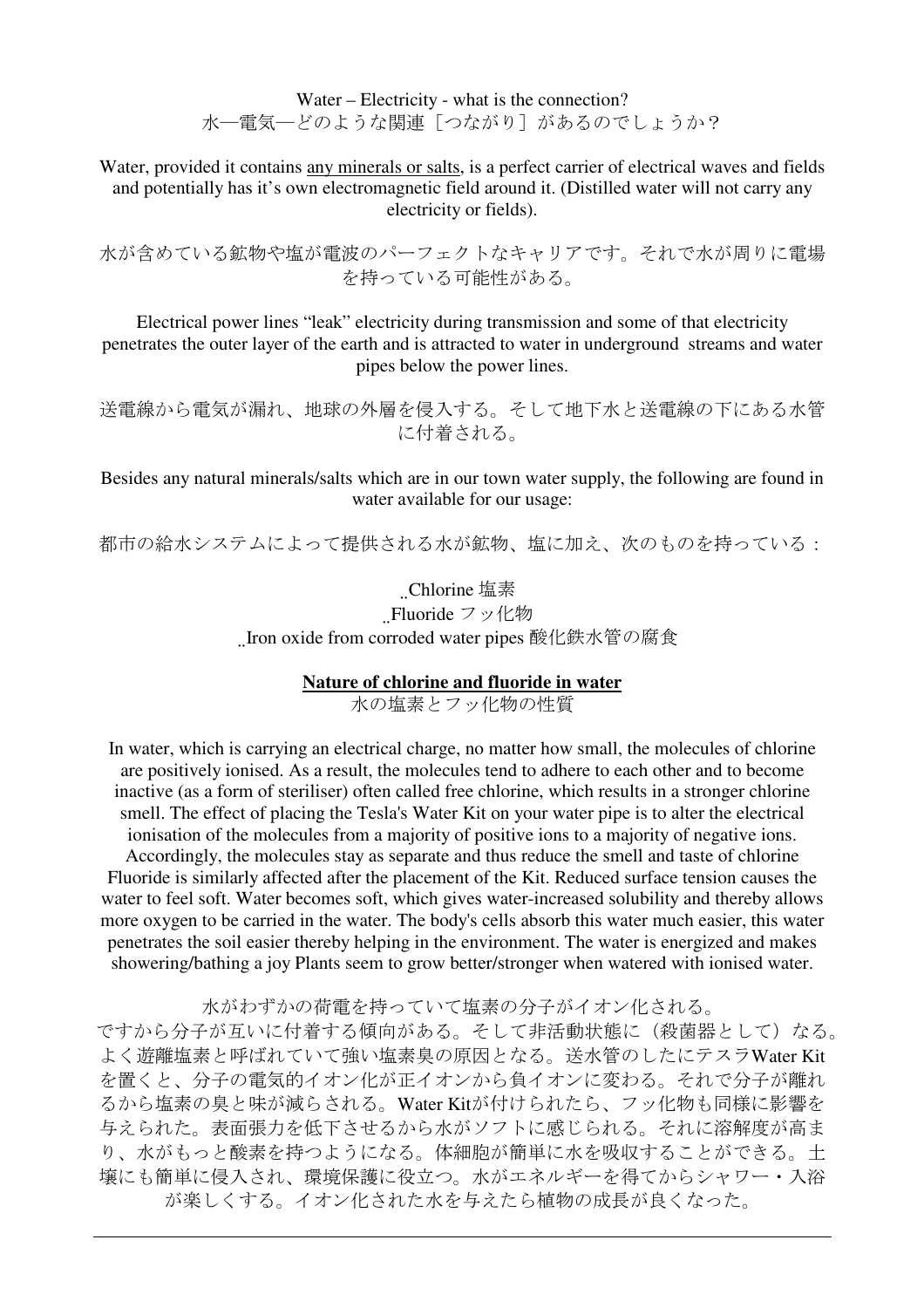Water – Electricity - what is the connection? 水一電気––どのような関連「つながり]があるのでしょうか?

Water, provided it contains any minerals or salts, is a perfect carrier of electrical waves and fields and potentially has it's own electromagnetic field around it. (Distilled water will not carry any electricity or fields).

水が含めている鉱物や塩が電波のパーフェクトなキャリアです。それで水が周りに電場 を持っている可能性がある。

Electrical power lines "leak" electricity during transmission and some of that electricity penetrates the outer layer of the earth and is attracted to water in underground streams and water pipes below the power lines.

送電線から電気が漏れ、地球の外層を侵入する。そして地下水と送電線の下にある水管 に付着される。

Besides any natural minerals/salts which are in our town water supply, the following are found in water available for our usage:

都市の給水システムによって提供される水が鉱物、塩に加え、次のものを持っている:

#### Chlorine 塩素

Fluoride フッ化物

Iron oxide from corroded water pipes 酸化鉄水管の腐食

#### **Nature of chlorine and fluoride in water**

水の塩素とフッ化物の性質

In water, which is carrying an electrical charge, no matter how small, the molecules of chlorine are positively ionised. As a result, the molecules tend to adhere to each other and to become inactive (as a form of steriliser) often called free chlorine, which results in a stronger chlorine smell. The effect of placing the Tesla's Water Kit on your water pipe is to alter the electrical ionisation of the molecules from a majority of positive ions to a majority of negative ions.

Accordingly, the molecules stay as separate and thus reduce the smell and taste of chlorine Fluoride is similarly affected after the placement of the Kit. Reduced surface tension causes the water to feel soft. Water becomes soft, which gives water-increased solubility and thereby allows more oxygen to be carried in the water. The body's cells absorb this water much easier, this water penetrates the soil easier thereby helping in the environment. The water is energized and makes showering/bathing a joy Plants seem to grow better/stronger when watered with ionised water.

水がわずかの荷電を持っていて塩素の分子がイオン化される。

ですから分子が互いに付着する傾向がある。そして非活動状態に(殺菌器として)なる。 よく遊離塩素と呼ばれていて強い塩素臭の原因となる。送水管のしたにテスラWater Kit を置くと、分子の電気的イオン化が正イオンから負イオンに変わる。それで分子が離れ るから塩素の臭と味が減らされる。Water Kitが付けられたら、フッ化物も同様に影響を 与えられた。表面張力を低下させるから水がソフトに感じられる。それに溶解度が高ま 。<br>り、水がもっと酸素を持つようになる。体細胞が簡単に水を吸収することができる。土 壌にも簡単に侵入され、環境保護に役立つ。水がエネルギーを得てからシャワー・入浴 が楽しくする。イオン化された水を与えたら植物の成長が良くなった。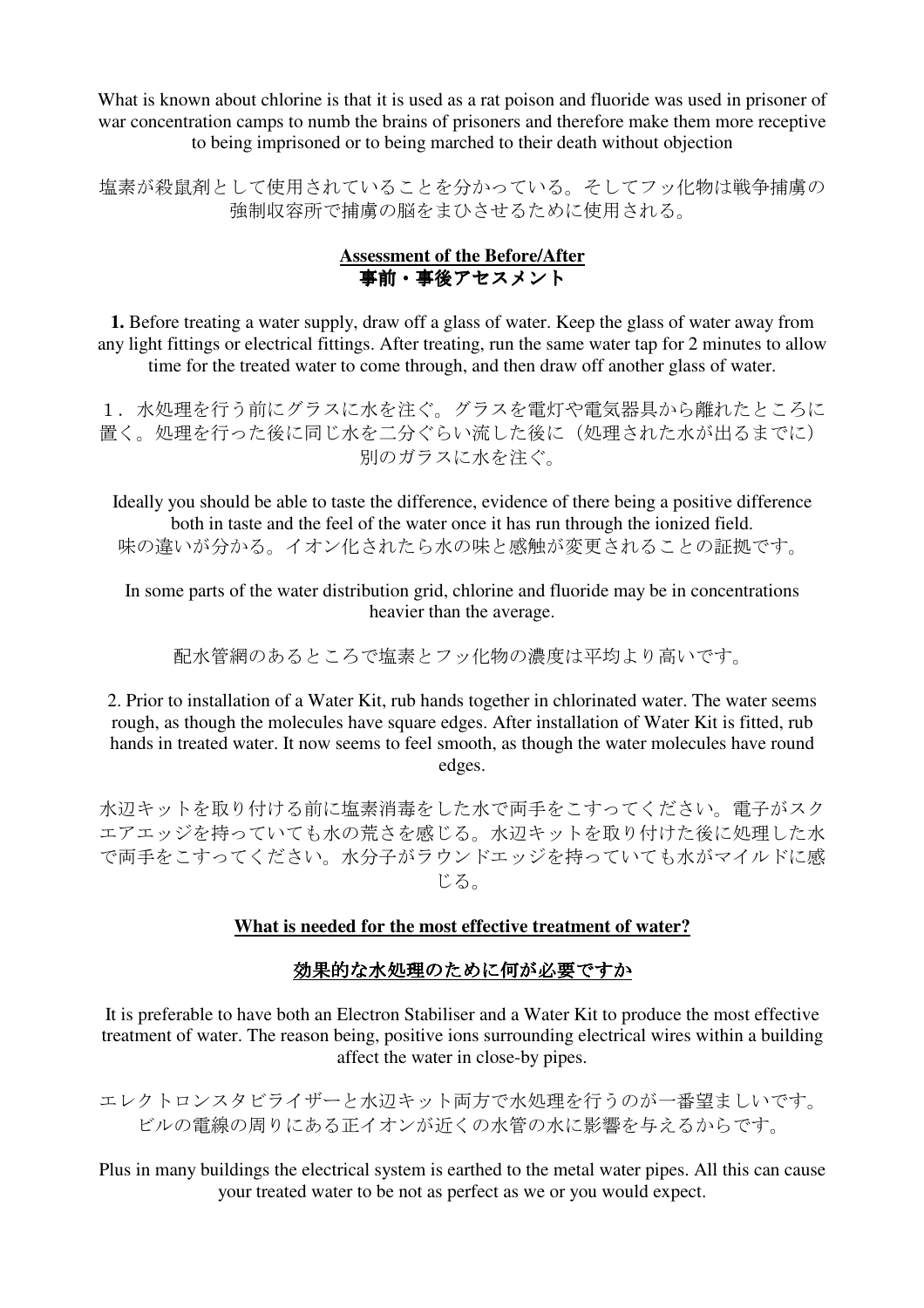What is known about chlorine is that it is used as a rat poison and fluoride was used in prisoner of war concentration camps to numb the brains of prisoners and therefore make them more receptive to being imprisoned or to being marched to their death without objection

塩素が殺鼠剤として使用されていることを分かっている。そしてフッ化物は戦争捕虜の 強制収容所で捕虜の脳をまひさせるために使用される。

### **Assessment of the Before/After** 事前・事後アセスメント

**1.** Before treating a water supply, draw off a glass of water. Keep the glass of water away from any light fittings or electrical fittings. After treating, run the same water tap for 2 minutes to allow time for the treated water to come through, and then draw off another glass of water.

1.水処理を行う前にグラスに水を注ぐ。グラスを電灯や電気器具から離れたところに 置く。処理を行った後に同じ水を二分ぐらい流した後に(処理された水が出るまでに) 別のガラスに水を注ぐ。

Ideally you should be able to taste the difference, evidence of there being a positive difference both in taste and the feel of the water once it has run through the ionized field. 味の違いが分かる。イオン化されたら水の味と感触が変更されることの証拠です。

In some parts of the water distribution grid, chlorine and fluoride may be in concentrations heavier than the average.

配水管網のあるところで塩素とフッ化物の濃度は平均より高いです。

2. Prior to installation of a Water Kit, rub hands together in chlorinated water. The water seems rough, as though the molecules have square edges. After installation of Water Kit is fitted, rub hands in treated water. It now seems to feel smooth, as though the water molecules have round edges.

水辺キットを取り付ける前に塩素消毒をした水で両手をこすってください。電子がスク エアエッジを持っていても水の荒さを感じる。水辺キットを取り付けた後に処理した水 で両手をこすってください。水分子がラウンドエッジを持っていても水がマイルドに感 じる。

### **What is needed for the most effective treatment of water?**

## 効果的な水処理のために何が必要ですか

It is preferable to have both an Electron Stabiliser and a Water Kit to produce the most effective treatment of water. The reason being, positive ions surrounding electrical wires within a building affect the water in close-by pipes.

エレクトロンスタビライザーと水辺キット両方で水処理を行うのが一番望ましいです。 ビルの電線の周りにある正イオンが近くの水管の水に影響を与えるからです。

Plus in many buildings the electrical system is earthed to the metal water pipes. All this can cause your treated water to be not as perfect as we or you would expect.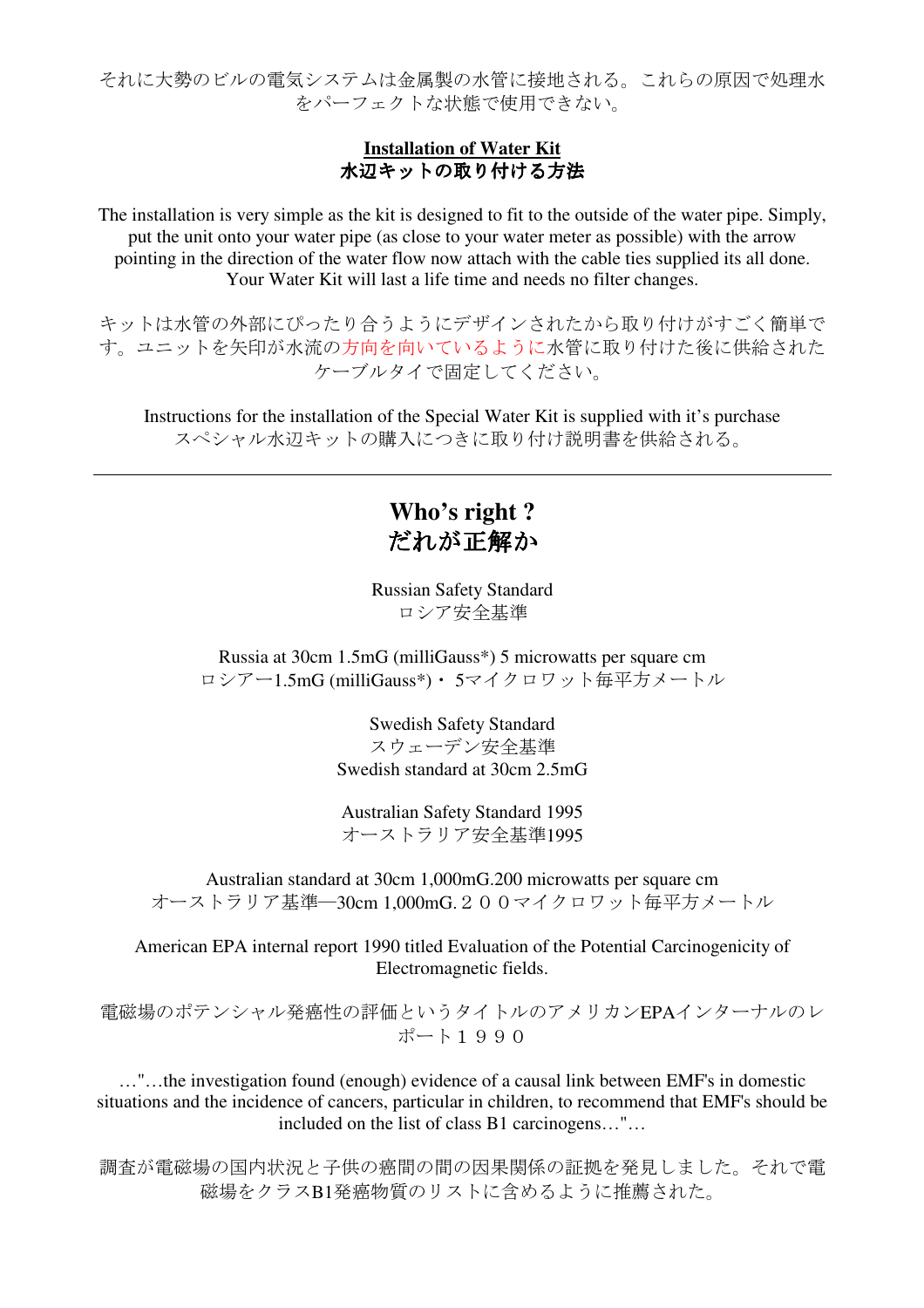それに大勢のビルの電気システムは金属製の水管に接地される。これらの原因で処理水 をパーフェクトな状態で使用できない。

### **Installation of Water Kit** 水辺キットの取り付ける方法

The installation is very simple as the kit is designed to fit to the outside of the water pipe. Simply, put the unit onto your water pipe (as close to your water meter as possible) with the arrow pointing in the direction of the water flow now attach with the cable ties supplied its all done. Your Water Kit will last a life time and needs no filter changes.

キットは水管の外部にぴったり合うようにデザインされたから取り付けがすごく簡単で す。ユニットを矢印が水流の方向を向いているように水管に取り付けた後に供給された ケーブルタイで固定してください。

Instructions for the installation of the Special Water Kit is supplied with it's purchase スペシャル水辺キットの購入につきに取り付け説明書を供給される。

## **Who's right ?**  だれが正解か

Russian Safety Standard ロシア安全基準

Russia at 30cm 1.5mG (milliGauss\*) 5 microwatts per square cm ロシアー1.5mG (milliGauss\*)・ 5マイクロワット毎平方メートル

> Swedish Safety Standard スウェーデン安全基準 Swedish standard at 30cm 2.5mG

Australian Safety Standard 1995 オーストラリア安全基準1995

Australian standard at 30cm 1,000mG.200 microwatts per square cm オーストラリア基準―30cm 1,000mG.200マイクロワット毎平方メートル

American EPA internal report 1990 titled Evaluation of the Potential Carcinogenicity of Electromagnetic fields.

電磁場のポテンシャル発癌性の評価というタイトルのアメリカンEPAインターナルのレ ポート1990

…"…the investigation found (enough) evidence of a causal link between EMF's in domestic situations and the incidence of cancers, particular in children, to recommend that EMF's should be included on the list of class B1 carcinogens…"…

調査が電磁場の国内状況と子供の癌間の間の因果関係の証拠を発見しました。それで電 磁場をクラスB1発癌物質のリストに含めるように推薦された。